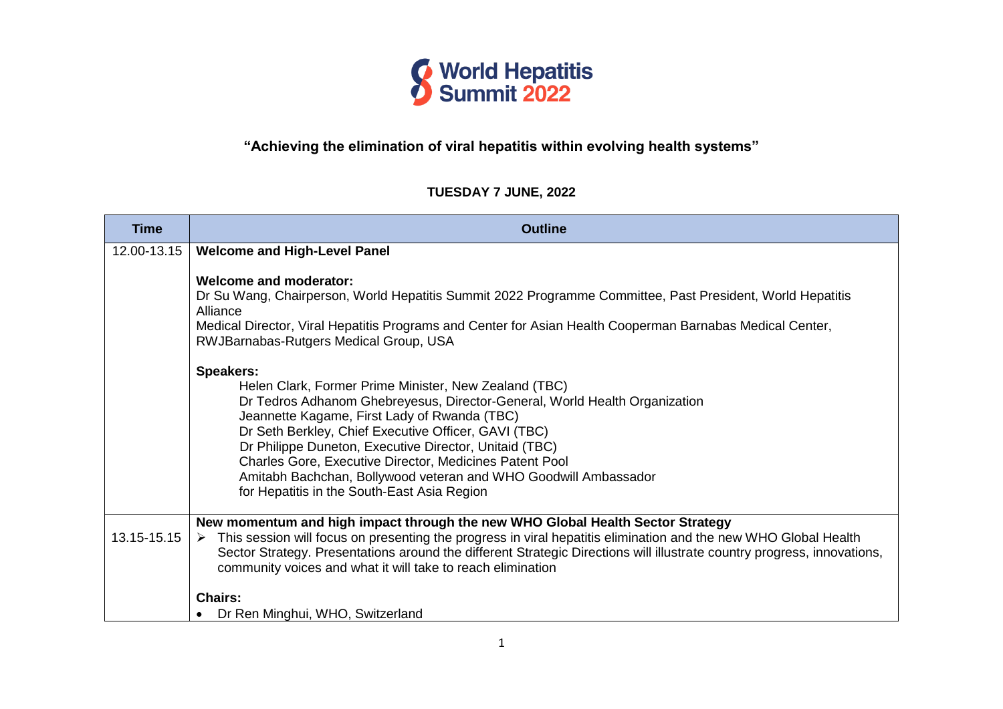

## **"Achieving the elimination of viral hepatitis within evolving health systems"**

### **TUESDAY 7 JUNE, 2022**

| <b>Time</b> | <b>Outline</b>                                                                                                                                                                                                                                                                                                                                                                                                                                                                                         |
|-------------|--------------------------------------------------------------------------------------------------------------------------------------------------------------------------------------------------------------------------------------------------------------------------------------------------------------------------------------------------------------------------------------------------------------------------------------------------------------------------------------------------------|
| 12.00-13.15 | <b>Welcome and High-Level Panel</b>                                                                                                                                                                                                                                                                                                                                                                                                                                                                    |
|             | Welcome and moderator:<br>Dr Su Wang, Chairperson, World Hepatitis Summit 2022 Programme Committee, Past President, World Hepatitis<br>Alliance<br>Medical Director, Viral Hepatitis Programs and Center for Asian Health Cooperman Barnabas Medical Center,<br>RWJBarnabas-Rutgers Medical Group, USA                                                                                                                                                                                                 |
|             | <b>Speakers:</b><br>Helen Clark, Former Prime Minister, New Zealand (TBC)<br>Dr Tedros Adhanom Ghebreyesus, Director-General, World Health Organization<br>Jeannette Kagame, First Lady of Rwanda (TBC)<br>Dr Seth Berkley, Chief Executive Officer, GAVI (TBC)<br>Dr Philippe Duneton, Executive Director, Unitaid (TBC)<br>Charles Gore, Executive Director, Medicines Patent Pool<br>Amitabh Bachchan, Bollywood veteran and WHO Goodwill Ambassador<br>for Hepatitis in the South-East Asia Region |
| 13.15-15.15 | New momentum and high impact through the new WHO Global Health Sector Strategy<br>This session will focus on presenting the progress in viral hepatitis elimination and the new WHO Global Health<br>➤<br>Sector Strategy. Presentations around the different Strategic Directions will illustrate country progress, innovations,<br>community voices and what it will take to reach elimination                                                                                                       |
|             | <b>Chairs:</b><br>Dr Ren Minghui, WHO, Switzerland                                                                                                                                                                                                                                                                                                                                                                                                                                                     |
|             |                                                                                                                                                                                                                                                                                                                                                                                                                                                                                                        |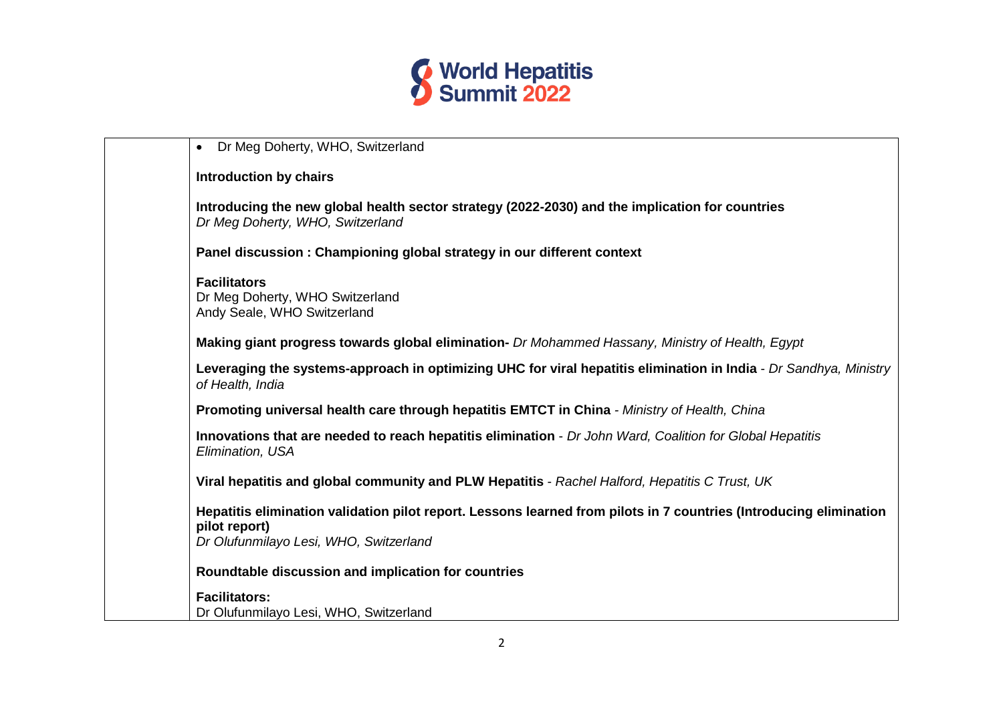

| Dr Meg Doherty, WHO, Switzerland<br>$\bullet$                                                                                                                                 |
|-------------------------------------------------------------------------------------------------------------------------------------------------------------------------------|
| <b>Introduction by chairs</b>                                                                                                                                                 |
| Introducing the new global health sector strategy (2022-2030) and the implication for countries<br>Dr Meg Doherty, WHO, Switzerland                                           |
| Panel discussion : Championing global strategy in our different context                                                                                                       |
| <b>Facilitators</b><br>Dr Meg Doherty, WHO Switzerland<br>Andy Seale, WHO Switzerland                                                                                         |
| Making giant progress towards global elimination- Dr Mohammed Hassany, Ministry of Health, Egypt                                                                              |
| Leveraging the systems-approach in optimizing UHC for viral hepatitis elimination in India - Dr Sandhya, Ministry<br>of Health, India                                         |
| Promoting universal health care through hepatitis EMTCT in China - Ministry of Health, China                                                                                  |
| Innovations that are needed to reach hepatitis elimination - Dr John Ward, Coalition for Global Hepatitis<br>Elimination, USA                                                 |
| Viral hepatitis and global community and PLW Hepatitis - Rachel Halford, Hepatitis C Trust, UK                                                                                |
| Hepatitis elimination validation pilot report. Lessons learned from pilots in 7 countries (Introducing elimination<br>pilot report)<br>Dr Olufunmilayo Lesi, WHO, Switzerland |
| Roundtable discussion and implication for countries                                                                                                                           |
| <b>Facilitators:</b>                                                                                                                                                          |
| Dr Olufunmilayo Lesi, WHO, Switzerland                                                                                                                                        |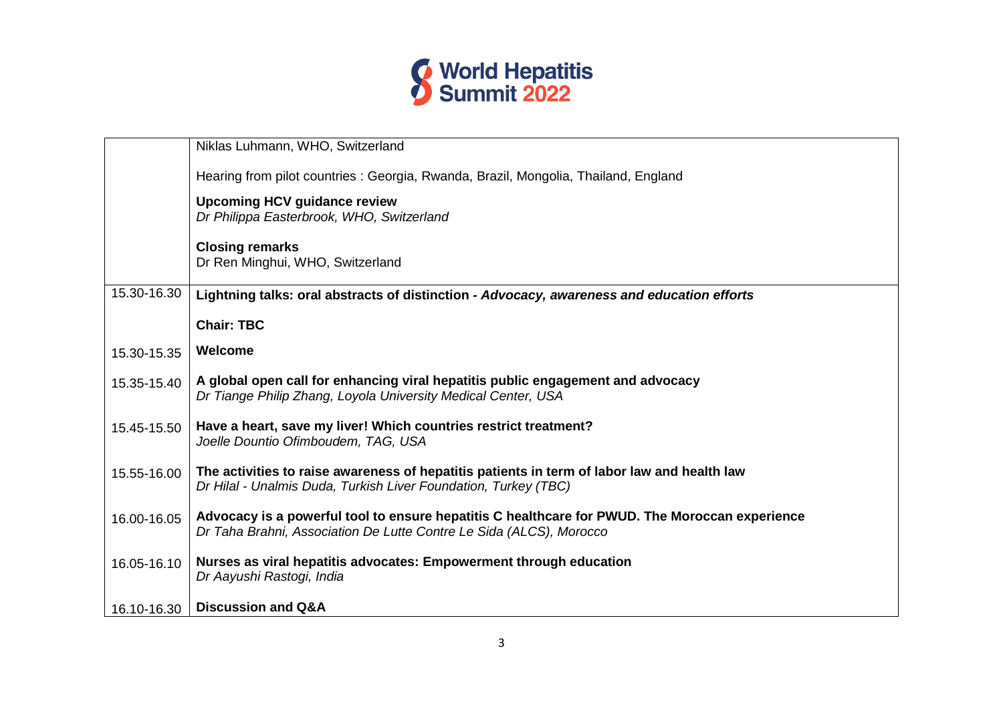

|             | Niklas Luhmann, WHO, Switzerland                                                                                                                                      |
|-------------|-----------------------------------------------------------------------------------------------------------------------------------------------------------------------|
|             | Hearing from pilot countries : Georgia, Rwanda, Brazil, Mongolia, Thailand, England                                                                                   |
|             | <b>Upcoming HCV guidance review</b><br>Dr Philippa Easterbrook, WHO, Switzerland                                                                                      |
|             | <b>Closing remarks</b><br>Dr Ren Minghui, WHO, Switzerland                                                                                                            |
| 15.30-16.30 | Lightning talks: oral abstracts of distinction - Advocacy, awareness and education efforts                                                                            |
|             | <b>Chair: TBC</b>                                                                                                                                                     |
| 15.30-15.35 | Welcome                                                                                                                                                               |
| 15.35-15.40 | A global open call for enhancing viral hepatitis public engagement and advocacy<br>Dr Tiange Philip Zhang, Loyola University Medical Center, USA                      |
| 15.45-15.50 | Have a heart, save my liver! Which countries restrict treatment?<br>Joelle Dountio Ofimboudem, TAG, USA                                                               |
| 15.55-16.00 | The activities to raise awareness of hepatitis patients in term of labor law and health law<br>Dr Hilal - Unalmis Duda, Turkish Liver Foundation, Turkey (TBC)        |
| 16.00-16.05 | Advocacy is a powerful tool to ensure hepatitis C healthcare for PWUD. The Moroccan experience<br>Dr Taha Brahni, Association De Lutte Contre Le Sida (ALCS), Morocco |
| 16.05-16.10 | Nurses as viral hepatitis advocates: Empowerment through education<br>Dr Aayushi Rastogi, India                                                                       |
| 16.10-16.30 | <b>Discussion and Q&amp;A</b>                                                                                                                                         |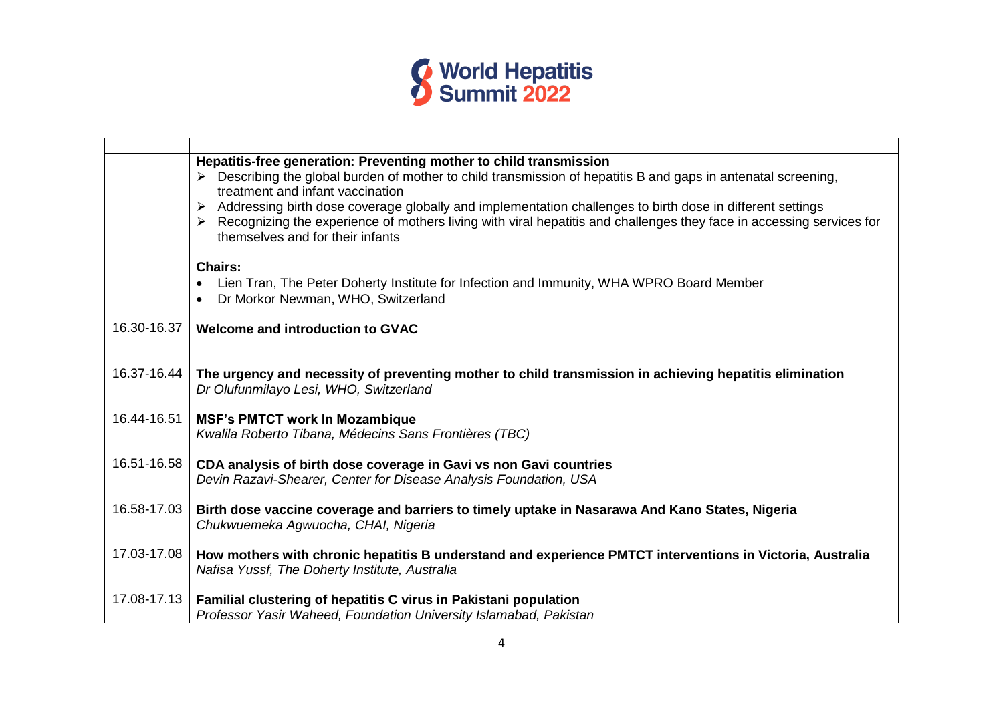

|             | Hepatitis-free generation: Preventing mother to child transmission<br>Describing the global burden of mother to child transmission of hepatitis B and gaps in antenatal screening,<br>treatment and infant vaccination<br>Addressing birth dose coverage globally and implementation challenges to birth dose in different settings<br>Recognizing the experience of mothers living with viral hepatitis and challenges they face in accessing services for<br>themselves and for their infants |
|-------------|-------------------------------------------------------------------------------------------------------------------------------------------------------------------------------------------------------------------------------------------------------------------------------------------------------------------------------------------------------------------------------------------------------------------------------------------------------------------------------------------------|
|             | Chairs:<br>Lien Tran, The Peter Doherty Institute for Infection and Immunity, WHA WPRO Board Member<br>Dr Morkor Newman, WHO, Switzerland<br>$\bullet$                                                                                                                                                                                                                                                                                                                                          |
| 16.30-16.37 | Welcome and introduction to GVAC                                                                                                                                                                                                                                                                                                                                                                                                                                                                |
| 16.37-16.44 | The urgency and necessity of preventing mother to child transmission in achieving hepatitis elimination                                                                                                                                                                                                                                                                                                                                                                                         |
|             | Dr Olufunmilayo Lesi, WHO, Switzerland                                                                                                                                                                                                                                                                                                                                                                                                                                                          |
| 16.44-16.51 | <b>MSF's PMTCT work In Mozambique</b><br>Kwalila Roberto Tibana, Médecins Sans Frontières (TBC)                                                                                                                                                                                                                                                                                                                                                                                                 |
| 16.51-16.58 | CDA analysis of birth dose coverage in Gavi vs non Gavi countries<br>Devin Razavi-Shearer, Center for Disease Analysis Foundation, USA                                                                                                                                                                                                                                                                                                                                                          |
| 16.58-17.03 | Birth dose vaccine coverage and barriers to timely uptake in Nasarawa And Kano States, Nigeria<br>Chukwuemeka Agwuocha, CHAI, Nigeria                                                                                                                                                                                                                                                                                                                                                           |
| 17.03-17.08 | How mothers with chronic hepatitis B understand and experience PMTCT interventions in Victoria, Australia<br>Nafisa Yussf, The Doherty Institute, Australia                                                                                                                                                                                                                                                                                                                                     |
| 17.08-17.13 | Familial clustering of hepatitis C virus in Pakistani population<br>Professor Yasir Waheed, Foundation University Islamabad, Pakistan                                                                                                                                                                                                                                                                                                                                                           |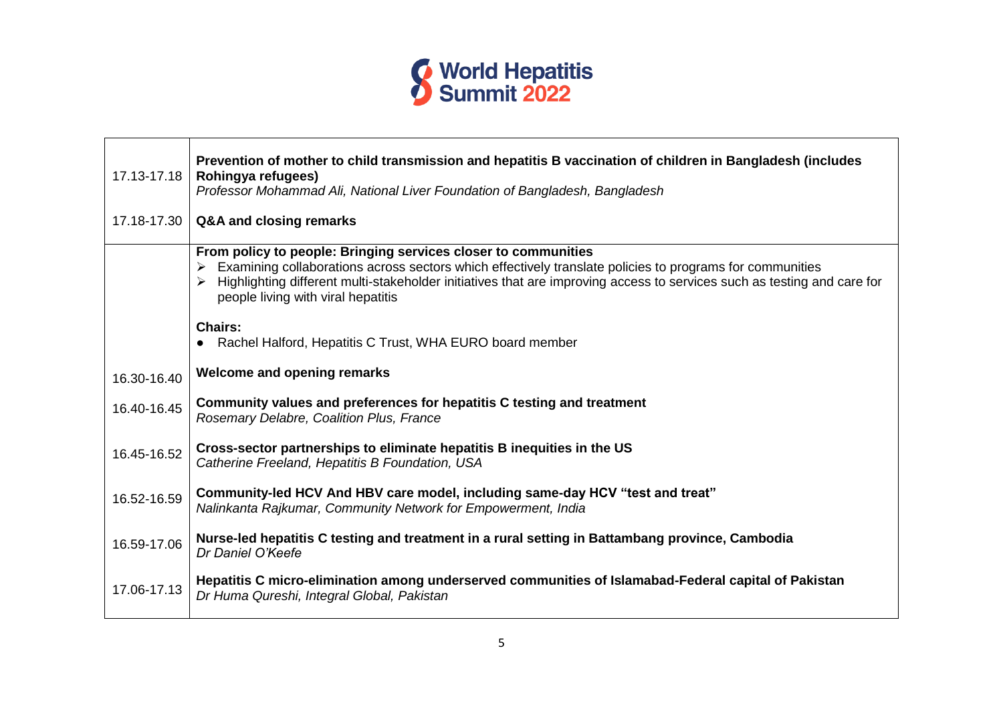

| 17.13-17.18<br>17.18-17.30 | Prevention of mother to child transmission and hepatitis B vaccination of children in Bangladesh (includes<br>Rohingya refugees)<br>Professor Mohammad Ali, National Liver Foundation of Bangladesh, Bangladesh<br>Q&A and closing remarks                                                                                                  |
|----------------------------|---------------------------------------------------------------------------------------------------------------------------------------------------------------------------------------------------------------------------------------------------------------------------------------------------------------------------------------------|
|                            | From policy to people: Bringing services closer to communities<br>Examining collaborations across sectors which effectively translate policies to programs for communities<br>Highlighting different multi-stakeholder initiatives that are improving access to services such as testing and care for<br>people living with viral hepatitis |
|                            | <b>Chairs:</b><br>Rachel Halford, Hepatitis C Trust, WHA EURO board member                                                                                                                                                                                                                                                                  |
| 16.30-16.40                | <b>Welcome and opening remarks</b>                                                                                                                                                                                                                                                                                                          |
| 16.40-16.45                | Community values and preferences for hepatitis C testing and treatment<br>Rosemary Delabre, Coalition Plus, France                                                                                                                                                                                                                          |
| 16.45-16.52                | Cross-sector partnerships to eliminate hepatitis B inequities in the US<br>Catherine Freeland, Hepatitis B Foundation, USA                                                                                                                                                                                                                  |
| 16.52-16.59                | Community-led HCV And HBV care model, including same-day HCV "test and treat"<br>Nalinkanta Rajkumar, Community Network for Empowerment, India                                                                                                                                                                                              |
| 16.59-17.06                | Nurse-led hepatitis C testing and treatment in a rural setting in Battambang province, Cambodia<br>Dr Daniel O'Keefe                                                                                                                                                                                                                        |
| 17.06-17.13                | Hepatitis C micro-elimination among underserved communities of Islamabad-Federal capital of Pakistan<br>Dr Huma Qureshi, Integral Global, Pakistan                                                                                                                                                                                          |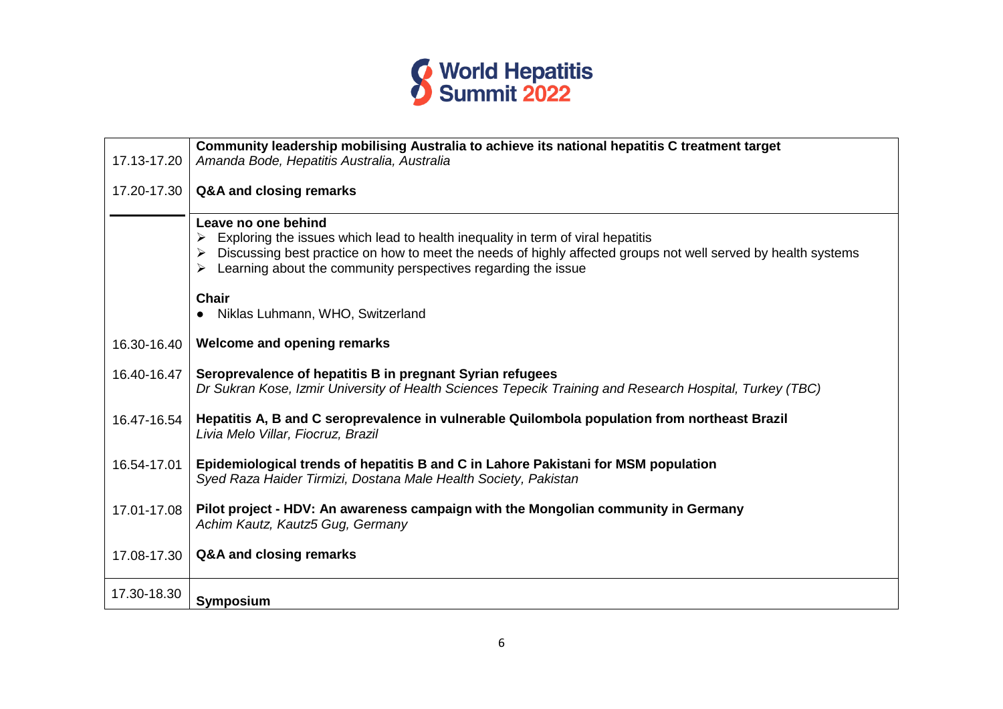

|             | Community leadership mobilising Australia to achieve its national hepatitis C treatment target                                                                                                                                                                                                                                               |
|-------------|----------------------------------------------------------------------------------------------------------------------------------------------------------------------------------------------------------------------------------------------------------------------------------------------------------------------------------------------|
| 17.13-17.20 | Amanda Bode, Hepatitis Australia, Australia                                                                                                                                                                                                                                                                                                  |
| 17.20-17.30 | Q&A and closing remarks                                                                                                                                                                                                                                                                                                                      |
|             | Leave no one behind<br>Exploring the issues which lead to health inequality in term of viral hepatitis<br>Discussing best practice on how to meet the needs of highly affected groups not well served by health systems<br>Learning about the community perspectives regarding the issue<br><b>Chair</b><br>Niklas Luhmann, WHO, Switzerland |
|             |                                                                                                                                                                                                                                                                                                                                              |
| 16.30-16.40 | Welcome and opening remarks                                                                                                                                                                                                                                                                                                                  |
| 16.40-16.47 | Seroprevalence of hepatitis B in pregnant Syrian refugees<br>Dr Sukran Kose, Izmir University of Health Sciences Tepecik Training and Research Hospital, Turkey (TBC)                                                                                                                                                                        |
| 16.47-16.54 | Hepatitis A, B and C seroprevalence in vulnerable Quilombola population from northeast Brazil<br>Livia Melo Villar, Fiocruz, Brazil                                                                                                                                                                                                          |
| 16.54-17.01 | Epidemiological trends of hepatitis B and C in Lahore Pakistani for MSM population<br>Syed Raza Haider Tirmizi, Dostana Male Health Society, Pakistan                                                                                                                                                                                        |
| 17.01-17.08 | Pilot project - HDV: An awareness campaign with the Mongolian community in Germany<br>Achim Kautz, Kautz5 Gug, Germany                                                                                                                                                                                                                       |
| 17.08-17.30 | Q&A and closing remarks                                                                                                                                                                                                                                                                                                                      |
| 17.30-18.30 | Symposium                                                                                                                                                                                                                                                                                                                                    |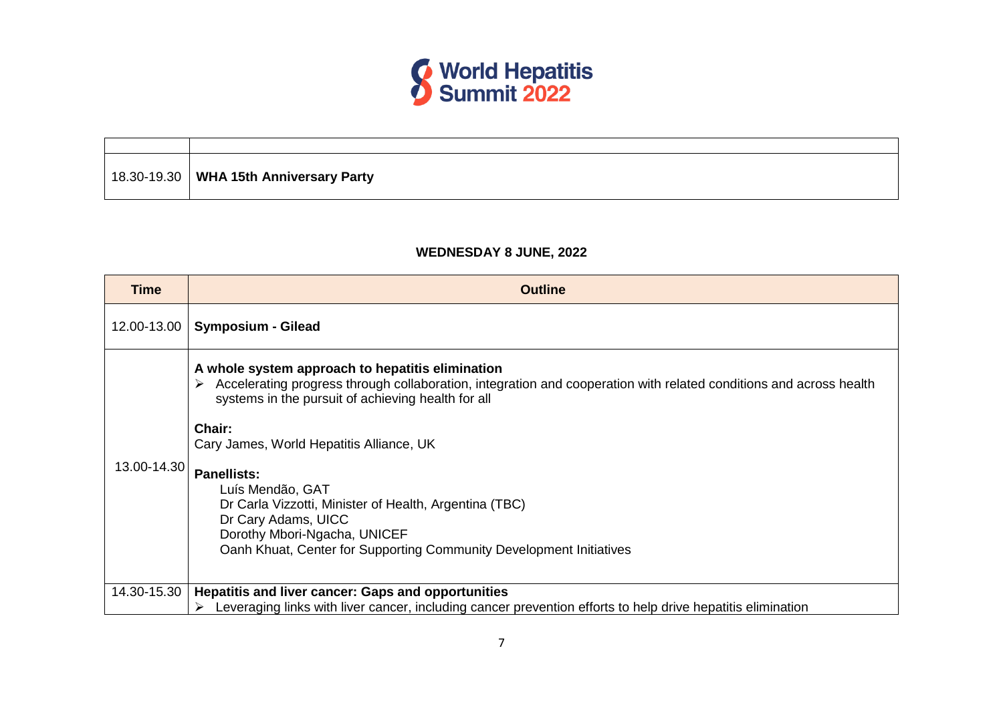

| 18.30-19.30   WHA 15th Anniversary Party |
|------------------------------------------|

## **WEDNESDAY 8 JUNE, 2022**

| Accelerating progress through collaboration, integration and cooperation with related conditions and across health |
|--------------------------------------------------------------------------------------------------------------------|
|                                                                                                                    |
|                                                                                                                    |
|                                                                                                                    |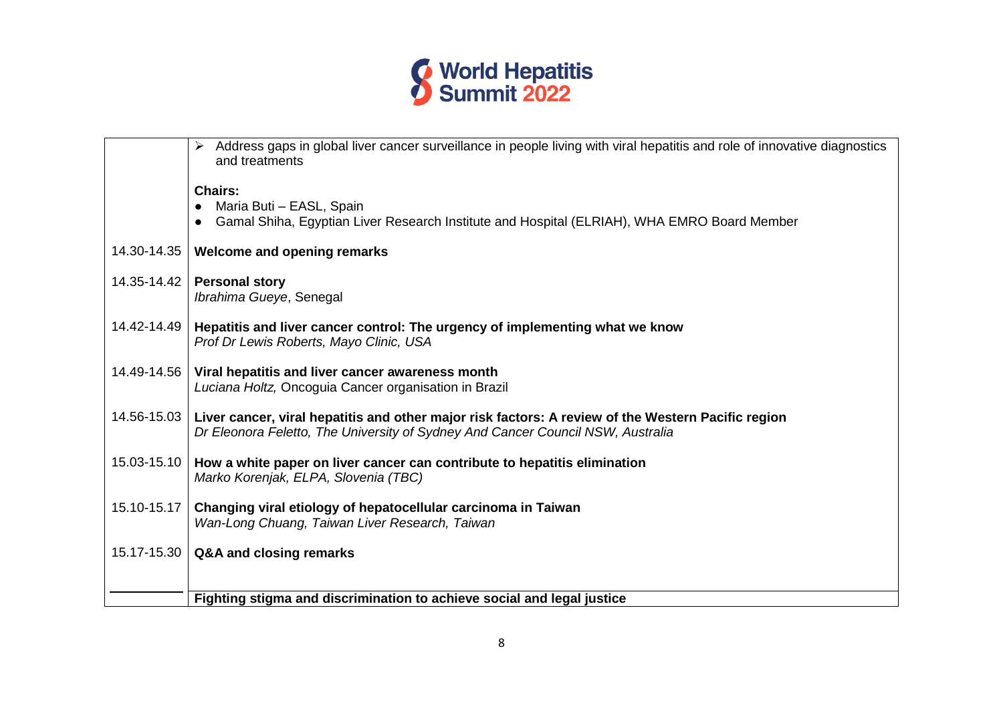

| Address gaps in global liver cancer surveillance in people living with viral hepatitis and role of innovative diagnostics<br>and treatments                                                          |  |
|------------------------------------------------------------------------------------------------------------------------------------------------------------------------------------------------------|--|
| <b>Chairs:</b><br>Maria Buti - EASL, Spain<br>Gamal Shiha, Egyptian Liver Research Institute and Hospital (ELRIAH), WHA EMRO Board Member                                                            |  |
| 14.30-14.35<br>Welcome and opening remarks                                                                                                                                                           |  |
| 14.35-14.42<br><b>Personal story</b><br>Ibrahima Gueye, Senegal                                                                                                                                      |  |
| 14.42-14.49<br>Hepatitis and liver cancer control: The urgency of implementing what we know<br>Prof Dr Lewis Roberts, Mayo Clinic, USA                                                               |  |
| 14.49-14.56<br>Viral hepatitis and liver cancer awareness month<br>Luciana Holtz, Oncoguia Cancer organisation in Brazil                                                                             |  |
| 14.56-15.03<br>Liver cancer, viral hepatitis and other major risk factors: A review of the Western Pacific region<br>Dr Eleonora Feletto, The University of Sydney And Cancer Council NSW, Australia |  |
| 15.03-15.10<br>How a white paper on liver cancer can contribute to hepatitis elimination<br>Marko Korenjak, ELPA, Slovenia (TBC)                                                                     |  |
| 15.10-15.17<br>Changing viral etiology of hepatocellular carcinoma in Taiwan<br>Wan-Long Chuang, Taiwan Liver Research, Taiwan                                                                       |  |
| 15.17-15.30<br>Q&A and closing remarks                                                                                                                                                               |  |
|                                                                                                                                                                                                      |  |
| Fighting stigma and discrimination to achieve social and legal justice                                                                                                                               |  |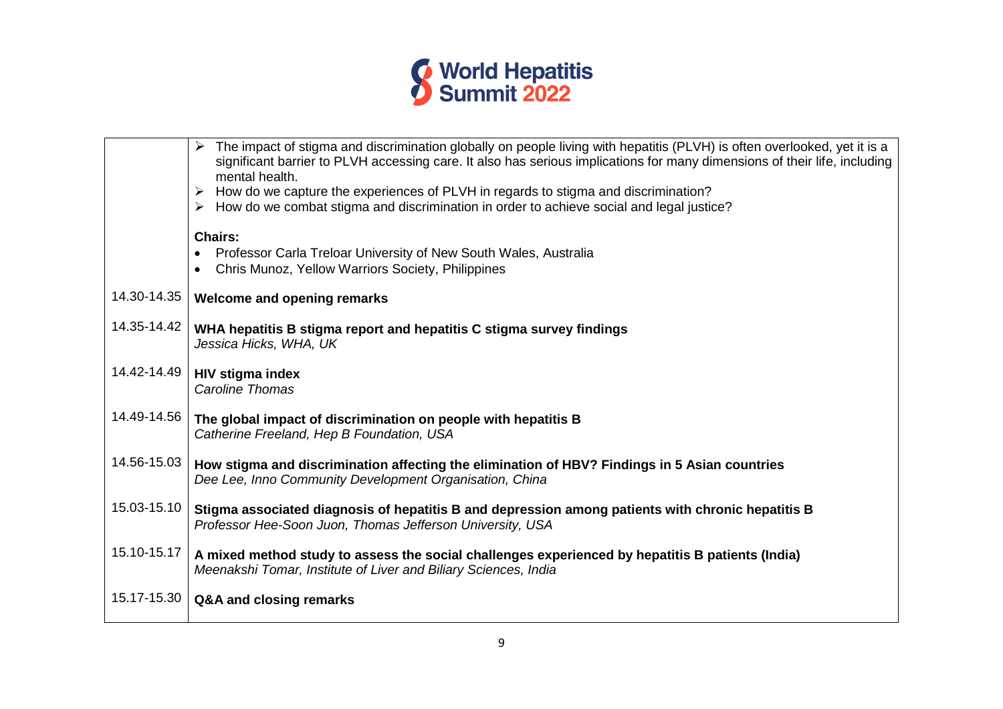

|             | > The impact of stigma and discrimination globally on people living with hepatitis (PLVH) is often overlooked, yet it is a<br>significant barrier to PLVH accessing care. It also has serious implications for many dimensions of their life, including<br>mental health. |
|-------------|---------------------------------------------------------------------------------------------------------------------------------------------------------------------------------------------------------------------------------------------------------------------------|
|             | How do we capture the experiences of PLVH in regards to stigma and discrimination?<br>➤<br>$\triangleright$ How do we combat stigma and discrimination in order to achieve social and legal justice?                                                                      |
|             | <b>Chairs:</b>                                                                                                                                                                                                                                                            |
|             | Professor Carla Treloar University of New South Wales, Australia<br>$\bullet$<br>Chris Munoz, Yellow Warriors Society, Philippines                                                                                                                                        |
| 14.30-14.35 | <b>Welcome and opening remarks</b>                                                                                                                                                                                                                                        |
| 14.35-14.42 | WHA hepatitis B stigma report and hepatitis C stigma survey findings<br>Jessica Hicks, WHA, UK                                                                                                                                                                            |
| 14.42-14.49 | <b>HIV stigma index</b><br><b>Caroline Thomas</b>                                                                                                                                                                                                                         |
| 14.49-14.56 | The global impact of discrimination on people with hepatitis B<br>Catherine Freeland, Hep B Foundation, USA                                                                                                                                                               |
| 14.56-15.03 | How stigma and discrimination affecting the elimination of HBV? Findings in 5 Asian countries<br>Dee Lee, Inno Community Development Organisation, China                                                                                                                  |
| 15.03-15.10 | Stigma associated diagnosis of hepatitis B and depression among patients with chronic hepatitis B<br>Professor Hee-Soon Juon, Thomas Jefferson University, USA                                                                                                            |
| 15.10-15.17 | A mixed method study to assess the social challenges experienced by hepatitis B patients (India)<br>Meenakshi Tomar, Institute of Liver and Biliary Sciences, India                                                                                                       |
| 15.17-15.30 | Q&A and closing remarks                                                                                                                                                                                                                                                   |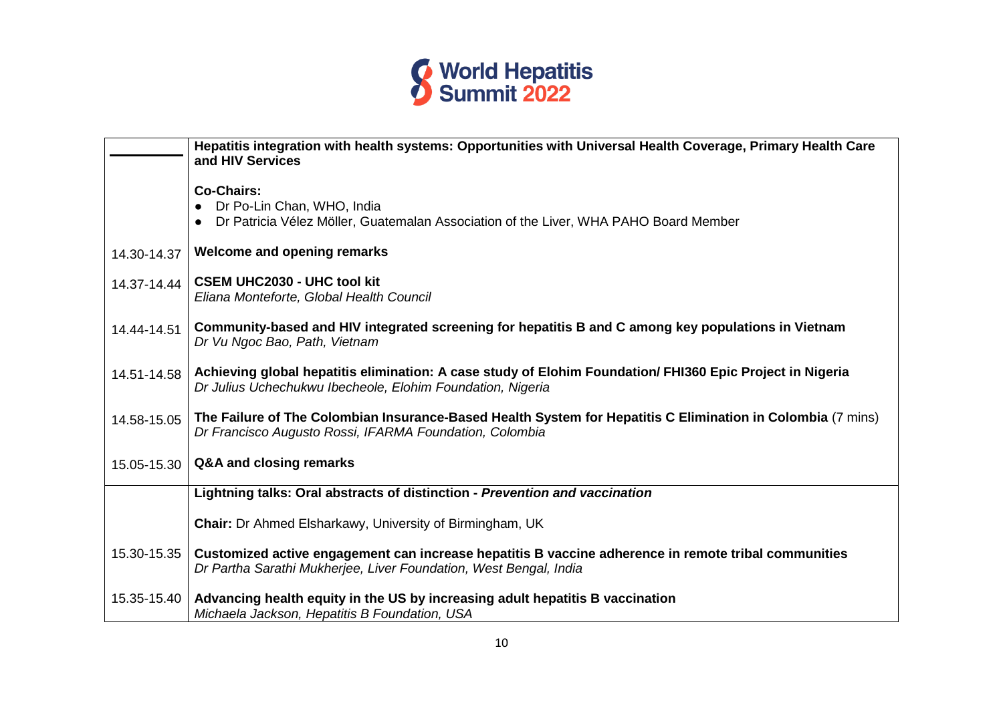

|             | Hepatitis integration with health systems: Opportunities with Universal Health Coverage, Primary Health Care<br>and HIV Services                                          |
|-------------|---------------------------------------------------------------------------------------------------------------------------------------------------------------------------|
|             | <b>Co-Chairs:</b><br>Dr Po-Lin Chan, WHO, India<br>Dr Patricia Vélez Möller, Guatemalan Association of the Liver, WHA PAHO Board Member                                   |
| 14.30-14.37 | <b>Welcome and opening remarks</b>                                                                                                                                        |
| 14.37-14.44 | <b>CSEM UHC2030 - UHC tool kit</b><br>Eliana Monteforte, Global Health Council                                                                                            |
| 14.44-14.51 | Community-based and HIV integrated screening for hepatitis B and C among key populations in Vietnam<br>Dr Vu Ngoc Bao, Path, Vietnam                                      |
| 14.51-14.58 | Achieving global hepatitis elimination: A case study of Elohim Foundation/ FHI360 Epic Project in Nigeria<br>Dr Julius Uchechukwu Ibecheole, Elohim Foundation, Nigeria   |
| 14.58-15.05 | The Failure of The Colombian Insurance-Based Health System for Hepatitis C Elimination in Colombia (7 mins)<br>Dr Francisco Augusto Rossi, IFARMA Foundation, Colombia    |
| 15.05-15.30 | Q&A and closing remarks                                                                                                                                                   |
|             | Lightning talks: Oral abstracts of distinction - Prevention and vaccination                                                                                               |
|             | <b>Chair:</b> Dr Ahmed Elsharkawy, University of Birmingham, UK                                                                                                           |
| 15.30-15.35 | Customized active engagement can increase hepatitis B vaccine adherence in remote tribal communities<br>Dr Partha Sarathi Mukherjee, Liver Foundation, West Bengal, India |
| 15.35-15.40 | Advancing health equity in the US by increasing adult hepatitis B vaccination<br>Michaela Jackson, Hepatitis B Foundation, USA                                            |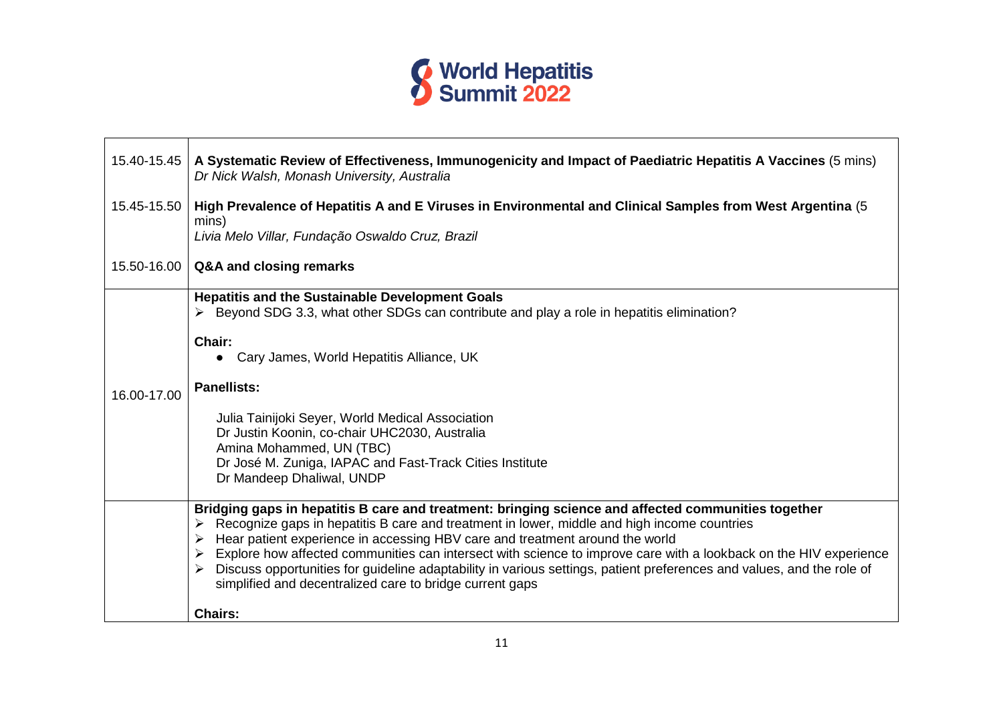

| 15.40-15.45 | A Systematic Review of Effectiveness, Immunogenicity and Impact of Paediatric Hepatitis A Vaccines (5 mins)<br>Dr Nick Walsh, Monash University, Australia                                                                                                                                                                                                                                                                                                                                                                                                                                                                      |
|-------------|---------------------------------------------------------------------------------------------------------------------------------------------------------------------------------------------------------------------------------------------------------------------------------------------------------------------------------------------------------------------------------------------------------------------------------------------------------------------------------------------------------------------------------------------------------------------------------------------------------------------------------|
| 15.45-15.50 | High Prevalence of Hepatitis A and E Viruses in Environmental and Clinical Samples from West Argentina (5<br>mins)<br>Livia Melo Villar, Fundação Oswaldo Cruz, Brazil                                                                                                                                                                                                                                                                                                                                                                                                                                                          |
|             | 15.50-16.00   Q&A and closing remarks                                                                                                                                                                                                                                                                                                                                                                                                                                                                                                                                                                                           |
| 16.00-17.00 | <b>Hepatitis and the Sustainable Development Goals</b><br>$\triangleright$ Beyond SDG 3.3, what other SDGs can contribute and play a role in hepatitis elimination?<br>Chair:<br>• Cary James, World Hepatitis Alliance, UK<br><b>Panellists:</b><br>Julia Tainijoki Seyer, World Medical Association<br>Dr Justin Koonin, co-chair UHC2030, Australia<br>Amina Mohammed, UN (TBC)<br>Dr José M. Zuniga, IAPAC and Fast-Track Cities Institute<br>Dr Mandeep Dhaliwal, UNDP                                                                                                                                                     |
|             | Bridging gaps in hepatitis B care and treatment: bringing science and affected communities together<br>$\triangleright$ Recognize gaps in hepatitis B care and treatment in lower, middle and high income countries<br>Hear patient experience in accessing HBV care and treatment around the world<br>Explore how affected communities can intersect with science to improve care with a lookback on the HIV experience<br>Discuss opportunities for guideline adaptability in various settings, patient preferences and values, and the role of<br>simplified and decentralized care to bridge current gaps<br><b>Chairs:</b> |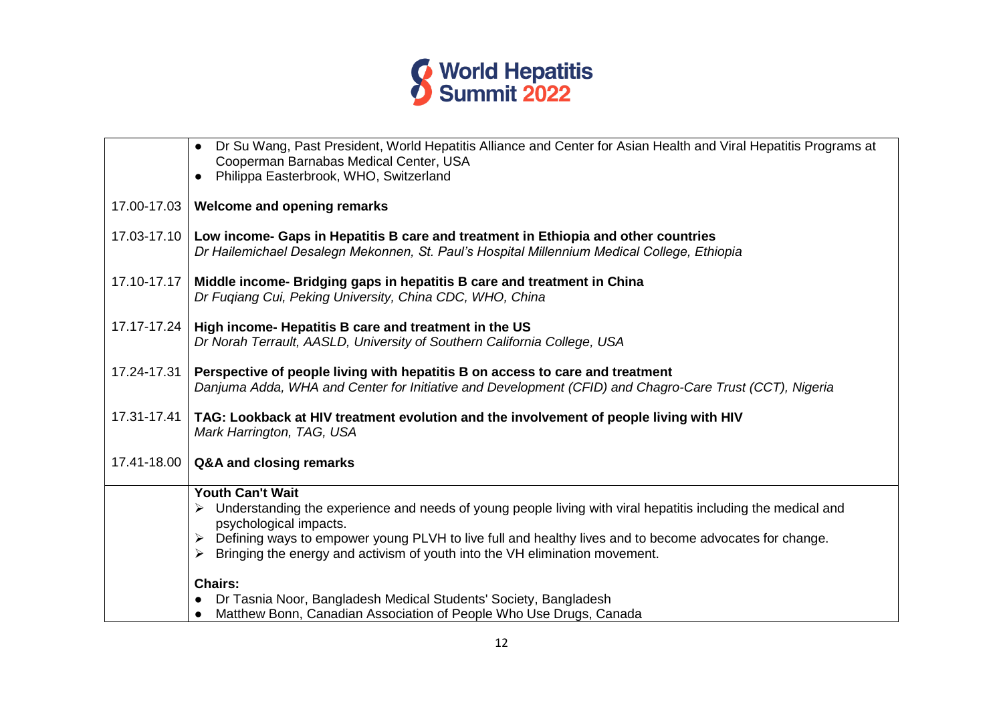

|             | Dr Su Wang, Past President, World Hepatitis Alliance and Center for Asian Health and Viral Hepatitis Programs at<br>$\bullet$<br>Cooperman Barnabas Medical Center, USA<br>Philippa Easterbrook, WHO, Switzerland                                                                                                                                          |
|-------------|------------------------------------------------------------------------------------------------------------------------------------------------------------------------------------------------------------------------------------------------------------------------------------------------------------------------------------------------------------|
| 17.00-17.03 | Welcome and opening remarks                                                                                                                                                                                                                                                                                                                                |
| 17.03-17.10 | Low income- Gaps in Hepatitis B care and treatment in Ethiopia and other countries<br>Dr Hailemichael Desalegn Mekonnen, St. Paul's Hospital Millennium Medical College, Ethiopia                                                                                                                                                                          |
| 17.10-17.17 | Middle income- Bridging gaps in hepatitis B care and treatment in China<br>Dr Fuqiang Cui, Peking University, China CDC, WHO, China                                                                                                                                                                                                                        |
|             | 17.17-17.24   High income- Hepatitis B care and treatment in the US<br>Dr Norah Terrault, AASLD, University of Southern California College, USA                                                                                                                                                                                                            |
| 17.24-17.31 | Perspective of people living with hepatitis B on access to care and treatment<br>Danjuma Adda, WHA and Center for Initiative and Development (CFID) and Chagro-Care Trust (CCT), Nigeria                                                                                                                                                                   |
| 17.31-17.41 | TAG: Lookback at HIV treatment evolution and the involvement of people living with HIV<br>Mark Harrington, TAG, USA                                                                                                                                                                                                                                        |
| 17.41-18.00 | Q&A and closing remarks                                                                                                                                                                                                                                                                                                                                    |
|             | <b>Youth Can't Wait</b><br>Understanding the experience and needs of young people living with viral hepatitis including the medical and<br>psychological impacts.<br>Defining ways to empower young PLVH to live full and healthy lives and to become advocates for change.<br>Bringing the energy and activism of youth into the VH elimination movement. |
|             | <b>Chairs:</b>                                                                                                                                                                                                                                                                                                                                             |
|             | Dr Tasnia Noor, Bangladesh Medical Students' Society, Bangladesh                                                                                                                                                                                                                                                                                           |
|             | Matthew Bonn, Canadian Association of People Who Use Drugs, Canada                                                                                                                                                                                                                                                                                         |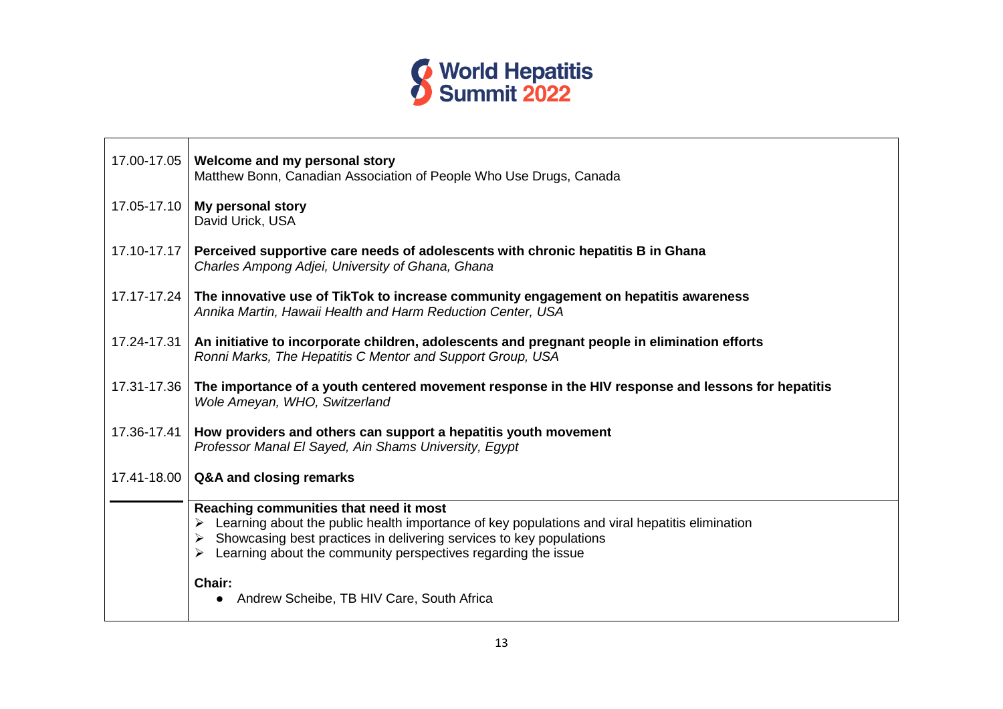

| 17.00-17.05 | Welcome and my personal story<br>Matthew Bonn, Canadian Association of People Who Use Drugs, Canada                                                                                                                                                                                        |
|-------------|--------------------------------------------------------------------------------------------------------------------------------------------------------------------------------------------------------------------------------------------------------------------------------------------|
| 17.05-17.10 | My personal story<br>David Urick, USA                                                                                                                                                                                                                                                      |
| 17.10-17.17 | Perceived supportive care needs of adolescents with chronic hepatitis B in Ghana<br>Charles Ampong Adjei, University of Ghana, Ghana                                                                                                                                                       |
|             | 17.17-17.24 The innovative use of TikTok to increase community engagement on hepatitis awareness<br>Annika Martin, Hawaii Health and Harm Reduction Center, USA                                                                                                                            |
| 17.24-17.31 | An initiative to incorporate children, adolescents and pregnant people in elimination efforts<br>Ronni Marks, The Hepatitis C Mentor and Support Group, USA                                                                                                                                |
| 17.31-17.36 | The importance of a youth centered movement response in the HIV response and lessons for hepatitis<br>Wole Ameyan, WHO, Switzerland                                                                                                                                                        |
| 17.36-17.41 | How providers and others can support a hepatitis youth movement<br>Professor Manal El Sayed, Ain Shams University, Egypt                                                                                                                                                                   |
| 17.41-18.00 | Q&A and closing remarks                                                                                                                                                                                                                                                                    |
|             | Reaching communities that need it most<br>Learning about the public health importance of key populations and viral hepatitis elimination<br>Showcasing best practices in delivering services to key populations<br>➤<br>Learning about the community perspectives regarding the issue<br>➤ |
|             | Chair:<br>Andrew Scheibe, TB HIV Care, South Africa                                                                                                                                                                                                                                        |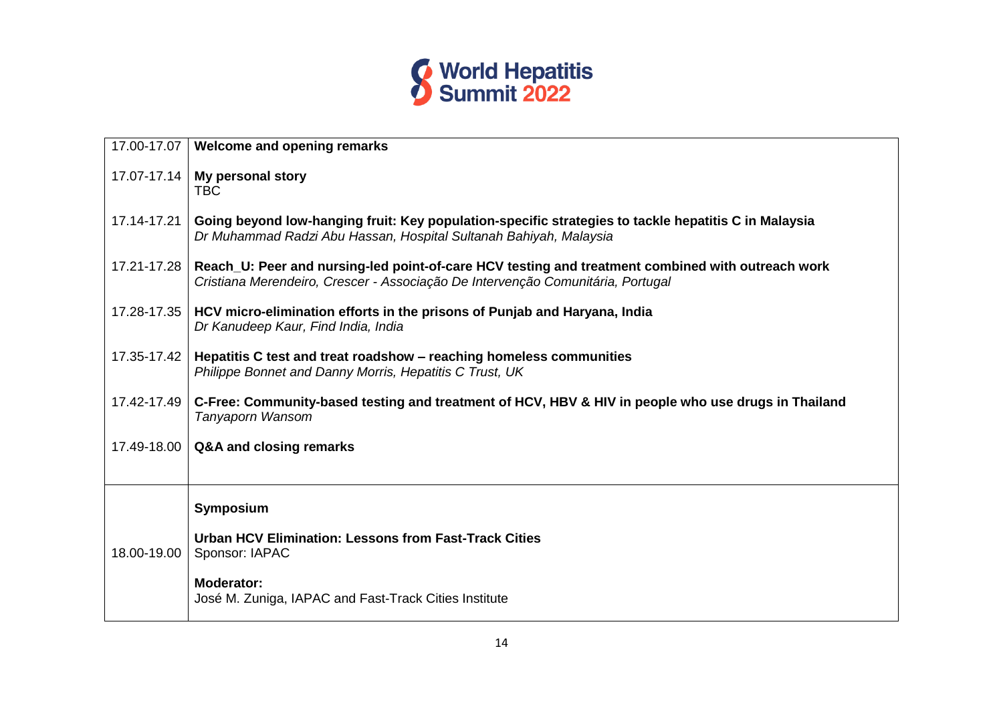

|             | 17.00-17.07   Welcome and opening remarks                                                                                                                                            |
|-------------|--------------------------------------------------------------------------------------------------------------------------------------------------------------------------------------|
| 17.07-17.14 | My personal story<br><b>TBC</b>                                                                                                                                                      |
| 17.14-17.21 | Going beyond low-hanging fruit: Key population-specific strategies to tackle hepatitis C in Malaysia<br>Dr Muhammad Radzi Abu Hassan, Hospital Sultanah Bahiyah, Malaysia            |
| 17.21-17.28 | Reach_U: Peer and nursing-led point-of-care HCV testing and treatment combined with outreach work<br>Cristiana Merendeiro, Crescer - Associação De Intervenção Comunitária, Portugal |
| 17.28-17.35 | HCV micro-elimination efforts in the prisons of Punjab and Haryana, India<br>Dr Kanudeep Kaur, Find India, India                                                                     |
| 17.35-17.42 | Hepatitis C test and treat roadshow – reaching homeless communities<br>Philippe Bonnet and Danny Morris, Hepatitis C Trust, UK                                                       |
| 17.42-17.49 | C-Free: Community-based testing and treatment of HCV, HBV & HIV in people who use drugs in Thailand<br>Tanyaporn Wansom                                                              |
| 17.49-18.00 | Q&A and closing remarks                                                                                                                                                              |
|             |                                                                                                                                                                                      |
|             | Symposium                                                                                                                                                                            |
| 18.00-19.00 | Urban HCV Elimination: Lessons from Fast-Track Cities<br>Sponsor: IAPAC                                                                                                              |
|             | <b>Moderator:</b><br>José M. Zuniga, IAPAC and Fast-Track Cities Institute                                                                                                           |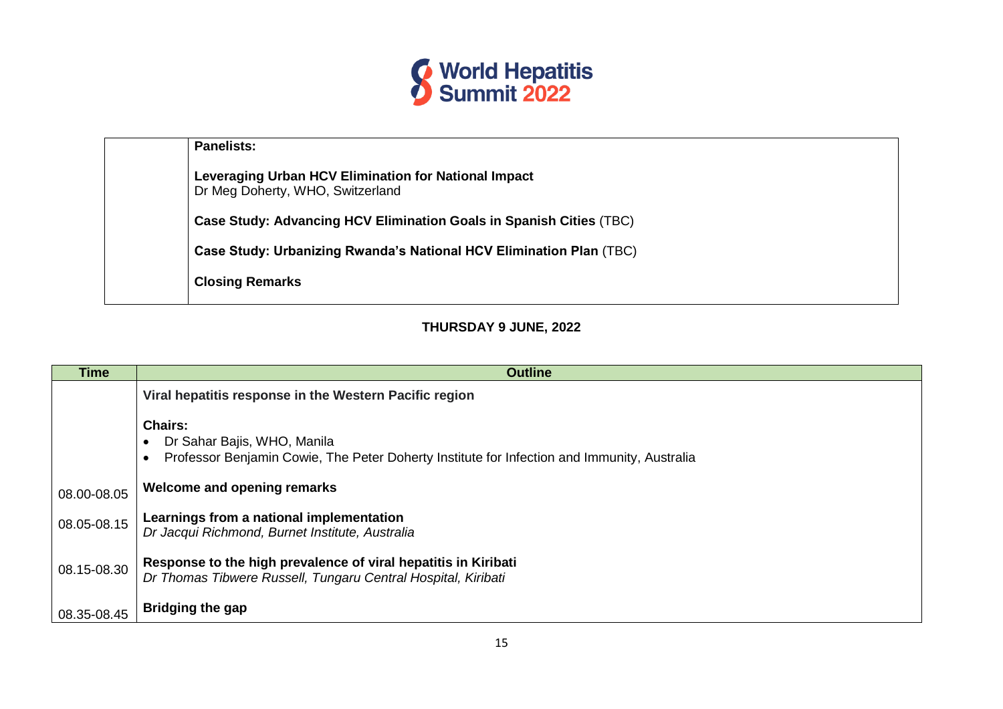

| <b>Panelists:</b>                                                                        |
|------------------------------------------------------------------------------------------|
| Leveraging Urban HCV Elimination for National Impact<br>Dr Meg Doherty, WHO, Switzerland |
| Case Study: Advancing HCV Elimination Goals in Spanish Cities (TBC)                      |
| Case Study: Urbanizing Rwanda's National HCV Elimination Plan (TBC)                      |
| <b>Closing Remarks</b>                                                                   |
|                                                                                          |

## **THURSDAY 9 JUNE, 2022**

| <b>Time</b> | <b>Outline</b>                                                                                                                                                         |
|-------------|------------------------------------------------------------------------------------------------------------------------------------------------------------------------|
|             | Viral hepatitis response in the Western Pacific region                                                                                                                 |
|             | <b>Chairs:</b><br>Dr Sahar Bajis, WHO, Manila<br>$\bullet$<br>Professor Benjamin Cowie, The Peter Doherty Institute for Infection and Immunity, Australia<br>$\bullet$ |
| 08.00-08.05 | Welcome and opening remarks                                                                                                                                            |
| 08.05-08.15 | Learnings from a national implementation<br>Dr Jacqui Richmond, Burnet Institute, Australia                                                                            |
| 08.15-08.30 | Response to the high prevalence of viral hepatitis in Kiribati<br>Dr Thomas Tibwere Russell, Tungaru Central Hospital, Kiribati                                        |
| 08.35-08.45 | <b>Bridging the gap</b>                                                                                                                                                |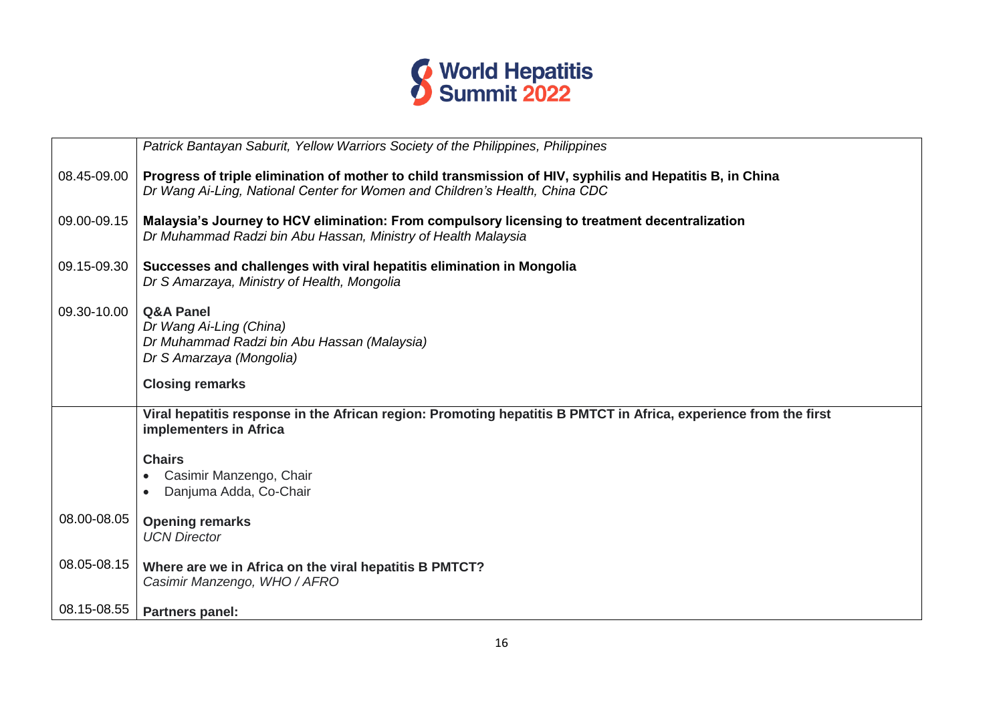

|             | Patrick Bantayan Saburit, Yellow Warriors Society of the Philippines, Philippines                                                                                                        |
|-------------|------------------------------------------------------------------------------------------------------------------------------------------------------------------------------------------|
| 08.45-09.00 | Progress of triple elimination of mother to child transmission of HIV, syphilis and Hepatitis B, in China<br>Dr Wang Ai-Ling, National Center for Women and Children's Health, China CDC |
| 09.00-09.15 | Malaysia's Journey to HCV elimination: From compulsory licensing to treatment decentralization<br>Dr Muhammad Radzi bin Abu Hassan, Ministry of Health Malaysia                          |
| 09.15-09.30 | Successes and challenges with viral hepatitis elimination in Mongolia<br>Dr S Amarzaya, Ministry of Health, Mongolia                                                                     |
| 09.30-10.00 | <b>Q&amp;A Panel</b><br>Dr Wang Ai-Ling (China)<br>Dr Muhammad Radzi bin Abu Hassan (Malaysia)<br>Dr S Amarzaya (Mongolia)                                                               |
|             | <b>Closing remarks</b>                                                                                                                                                                   |
|             | Viral hepatitis response in the African region: Promoting hepatitis B PMTCT in Africa, experience from the first<br>implementers in Africa                                               |
|             | <b>Chairs</b>                                                                                                                                                                            |
|             | Casimir Manzengo, Chair                                                                                                                                                                  |
|             | Danjuma Adda, Co-Chair                                                                                                                                                                   |
| 08.00-08.05 | <b>Opening remarks</b><br><b>UCN Director</b>                                                                                                                                            |
| 08.05-08.15 | Where are we in Africa on the viral hepatitis B PMTCT?<br>Casimir Manzengo, WHO / AFRO                                                                                                   |
| 08.15-08.55 | <b>Partners panel:</b>                                                                                                                                                                   |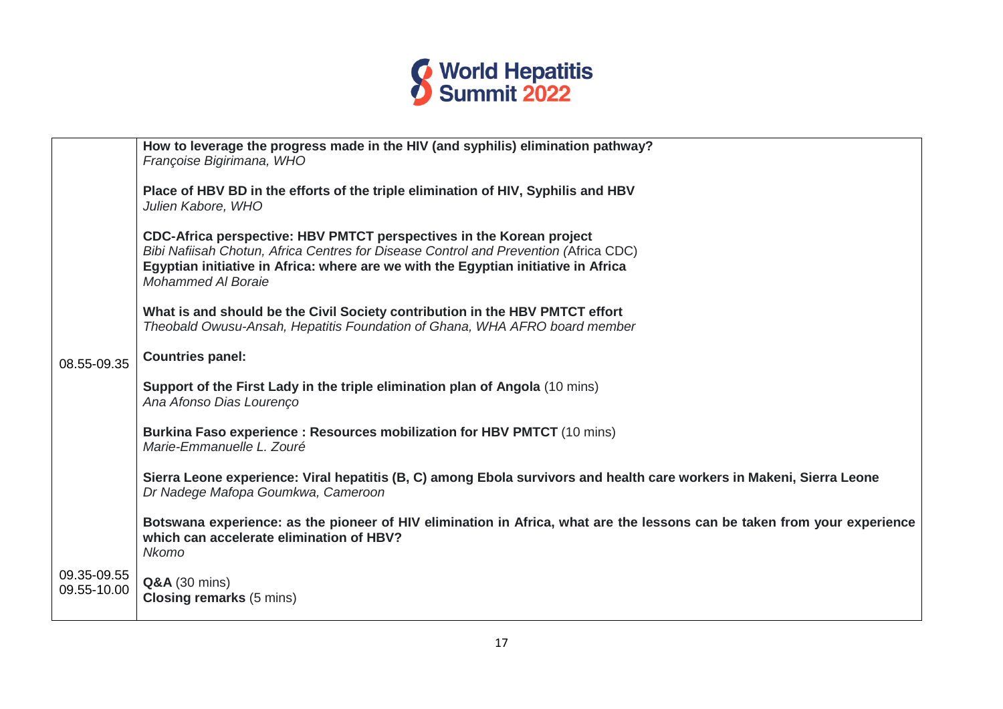

|                            | How to leverage the progress made in the HIV (and syphilis) elimination pathway?<br>Françoise Bigirimana, WHO                                                                                                                                                                   |
|----------------------------|---------------------------------------------------------------------------------------------------------------------------------------------------------------------------------------------------------------------------------------------------------------------------------|
|                            | Place of HBV BD in the efforts of the triple elimination of HIV, Syphilis and HBV<br>Julien Kabore, WHO                                                                                                                                                                         |
|                            | CDC-Africa perspective: HBV PMTCT perspectives in the Korean project<br>Bibi Nafiisah Chotun, Africa Centres for Disease Control and Prevention (Africa CDC)<br>Egyptian initiative in Africa: where are we with the Egyptian initiative in Africa<br><b>Mohammed Al Boraie</b> |
|                            | What is and should be the Civil Society contribution in the HBV PMTCT effort<br>Theobald Owusu-Ansah, Hepatitis Foundation of Ghana, WHA AFRO board member                                                                                                                      |
| 08.55-09.35                | <b>Countries panel:</b>                                                                                                                                                                                                                                                         |
|                            | Support of the First Lady in the triple elimination plan of Angola (10 mins)<br>Ana Afonso Dias Lourenço                                                                                                                                                                        |
|                            | Burkina Faso experience : Resources mobilization for HBV PMTCT (10 mins)<br>Marie-Emmanuelle L. Zouré                                                                                                                                                                           |
|                            | Sierra Leone experience: Viral hepatitis (B, C) among Ebola survivors and health care workers in Makeni, Sierra Leone<br>Dr Nadege Mafopa Goumkwa, Cameroon                                                                                                                     |
|                            | Botswana experience: as the pioneer of HIV elimination in Africa, what are the lessons can be taken from your experience<br>which can accelerate elimination of HBV?<br><b>Nkomo</b>                                                                                            |
| 09.35-09.55<br>09.55-10.00 | <b>Q&amp;A</b> (30 mins)<br><b>Closing remarks (5 mins)</b>                                                                                                                                                                                                                     |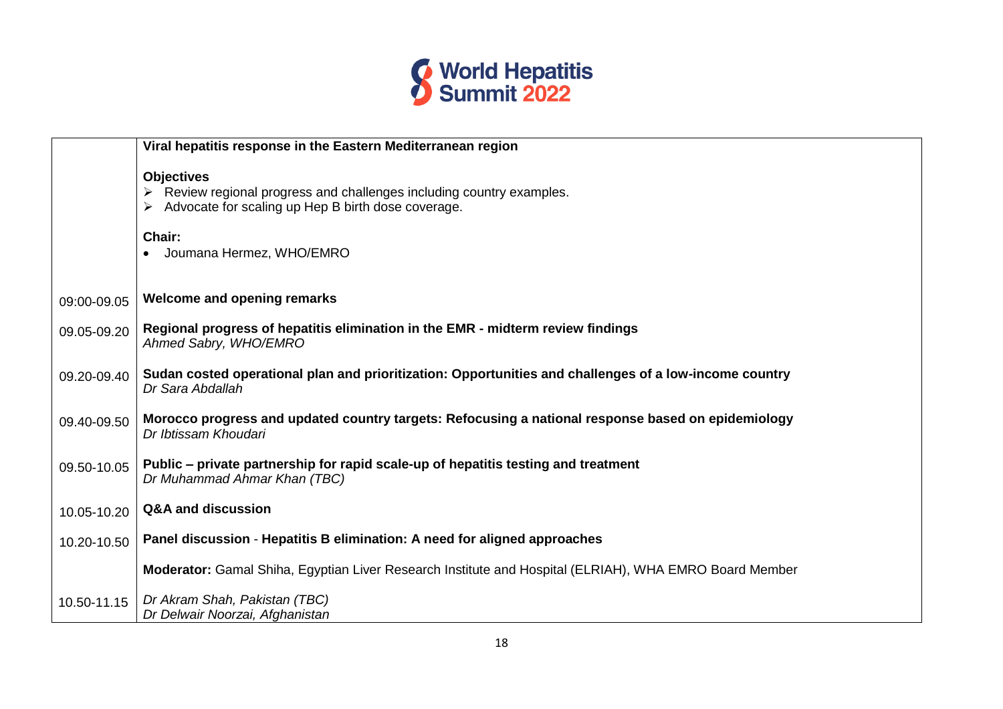

|             | Viral hepatitis response in the Eastern Mediterranean region                                                                                   |
|-------------|------------------------------------------------------------------------------------------------------------------------------------------------|
|             | <b>Objectives</b><br>Review regional progress and challenges including country examples.<br>Advocate for scaling up Hep B birth dose coverage. |
|             | Chair:<br>Joumana Hermez, WHO/EMRO                                                                                                             |
| 09:00-09.05 | <b>Welcome and opening remarks</b>                                                                                                             |
| 09.05-09.20 | Regional progress of hepatitis elimination in the EMR - midterm review findings<br>Ahmed Sabry, WHO/EMRO                                       |
| 09.20-09.40 | Sudan costed operational plan and prioritization: Opportunities and challenges of a low-income country<br>Dr Sara Abdallah                     |
| 09.40-09.50 | Morocco progress and updated country targets: Refocusing a national response based on epidemiology<br>Dr Ibtissam Khoudari                     |
| 09.50-10.05 | Public – private partnership for rapid scale-up of hepatitis testing and treatment<br>Dr Muhammad Ahmar Khan (TBC)                             |
| 10.05-10.20 | <b>Q&amp;A and discussion</b>                                                                                                                  |
| 10.20-10.50 | Panel discussion - Hepatitis B elimination: A need for aligned approaches                                                                      |
|             | Moderator: Gamal Shiha, Egyptian Liver Research Institute and Hospital (ELRIAH), WHA EMRO Board Member                                         |
| 10.50-11.15 | Dr Akram Shah, Pakistan (TBC)<br>Dr Delwair Noorzai, Afghanistan                                                                               |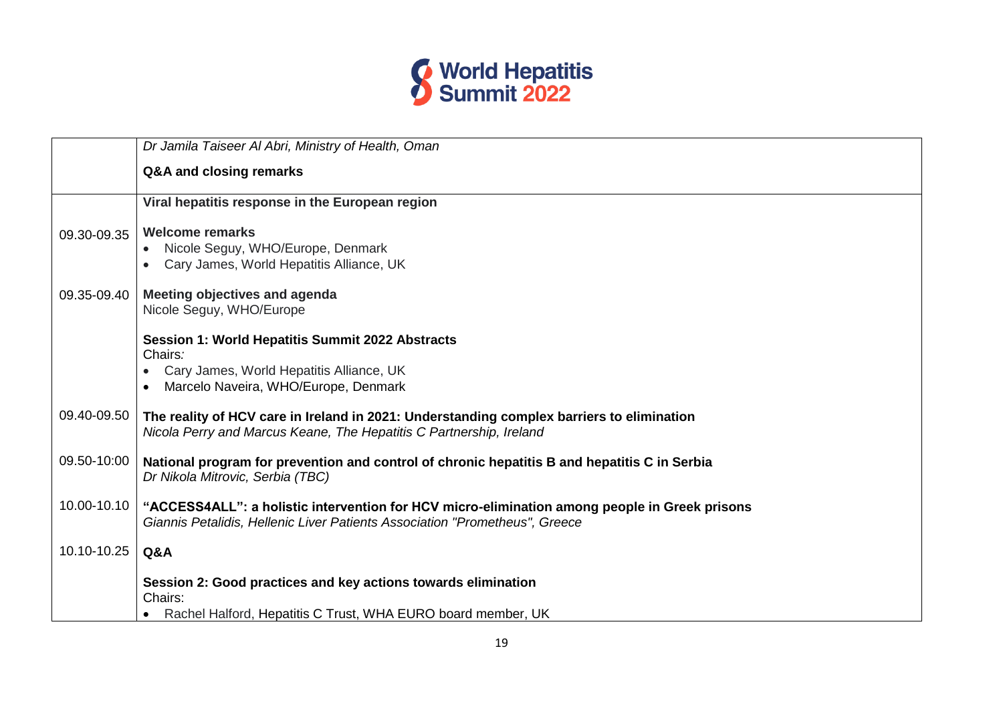

|             | Dr Jamila Taiseer Al Abri, Ministry of Health, Oman                                                                                                                          |
|-------------|------------------------------------------------------------------------------------------------------------------------------------------------------------------------------|
|             | Q&A and closing remarks                                                                                                                                                      |
|             | Viral hepatitis response in the European region                                                                                                                              |
| 09.30-09.35 | <b>Welcome remarks</b>                                                                                                                                                       |
|             | • Nicole Seguy, WHO/Europe, Denmark<br>Cary James, World Hepatitis Alliance, UK                                                                                              |
|             |                                                                                                                                                                              |
| 09.35-09.40 | Meeting objectives and agenda<br>Nicole Seguy, WHO/Europe                                                                                                                    |
|             |                                                                                                                                                                              |
|             | Session 1: World Hepatitis Summit 2022 Abstracts<br>Chairs:                                                                                                                  |
|             | Cary James, World Hepatitis Alliance, UK                                                                                                                                     |
|             | Marcelo Naveira, WHO/Europe, Denmark                                                                                                                                         |
| 09.40-09.50 | The reality of HCV care in Ireland in 2021: Understanding complex barriers to elimination<br>Nicola Perry and Marcus Keane, The Hepatitis C Partnership, Ireland             |
| 09.50-10:00 | National program for prevention and control of chronic hepatitis B and hepatitis C in Serbia<br>Dr Nikola Mitrovic, Serbia (TBC)                                             |
| 10.00-10.10 | "ACCESS4ALL": a holistic intervention for HCV micro-elimination among people in Greek prisons<br>Giannis Petalidis, Hellenic Liver Patients Association "Prometheus", Greece |
| 10.10-10.25 | Q&A                                                                                                                                                                          |
|             | Session 2: Good practices and key actions towards elimination                                                                                                                |
|             | Chairs:<br>• Rachel Halford, Hepatitis C Trust, WHA EURO board member, UK                                                                                                    |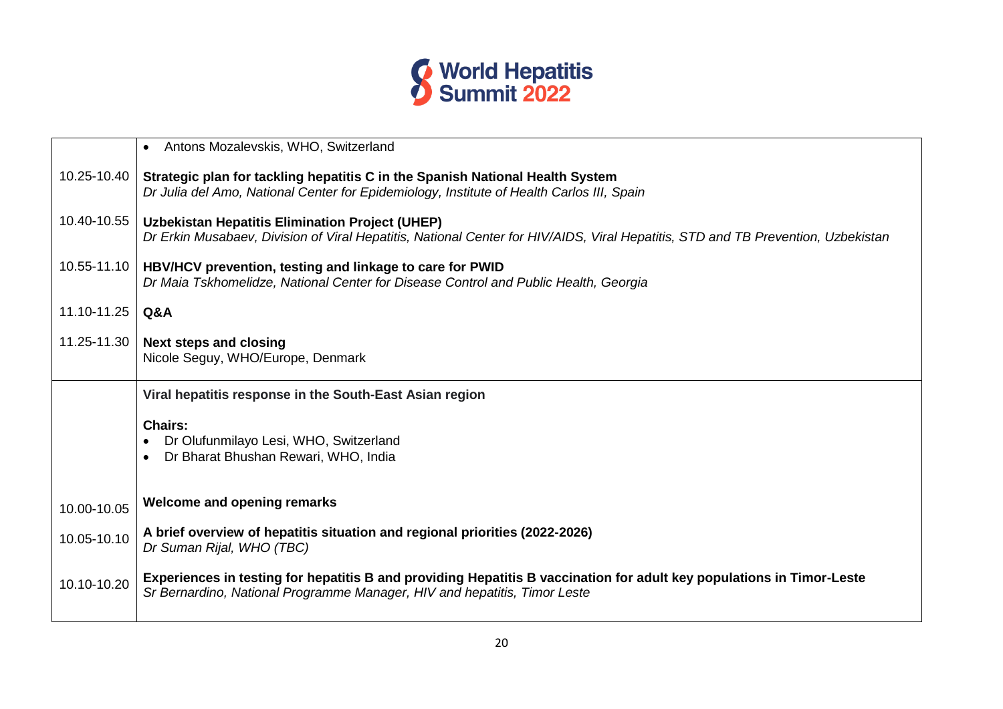

|             | Antons Mozalevskis, WHO, Switzerland<br>$\bullet$                                                                                                                                                  |
|-------------|----------------------------------------------------------------------------------------------------------------------------------------------------------------------------------------------------|
| 10.25-10.40 | Strategic plan for tackling hepatitis C in the Spanish National Health System<br>Dr Julia del Amo, National Center for Epidemiology, Institute of Health Carlos III, Spain                         |
| 10.40-10.55 | <b>Uzbekistan Hepatitis Elimination Project (UHEP)</b><br>Dr Erkin Musabaev, Division of Viral Hepatitis, National Center for HIV/AIDS, Viral Hepatitis, STD and TB Prevention, Uzbekistan         |
| 10.55-11.10 | HBV/HCV prevention, testing and linkage to care for PWID<br>Dr Maia Tskhomelidze, National Center for Disease Control and Public Health, Georgia                                                   |
| 11.10-11.25 | Q&A                                                                                                                                                                                                |
| 11.25-11.30 | <b>Next steps and closing</b><br>Nicole Seguy, WHO/Europe, Denmark                                                                                                                                 |
|             | Viral hepatitis response in the South-East Asian region                                                                                                                                            |
|             |                                                                                                                                                                                                    |
|             | <b>Chairs:</b><br>Dr Olufunmilayo Lesi, WHO, Switzerland<br>Dr Bharat Bhushan Rewari, WHO, India                                                                                                   |
| 10.00-10.05 | <b>Welcome and opening remarks</b>                                                                                                                                                                 |
| 10.05-10.10 | A brief overview of hepatitis situation and regional priorities (2022-2026)<br>Dr Suman Rijal, WHO (TBC)                                                                                           |
| 10.10-10.20 | Experiences in testing for hepatitis B and providing Hepatitis B vaccination for adult key populations in Timor-Leste<br>Sr Bernardino, National Programme Manager, HIV and hepatitis, Timor Leste |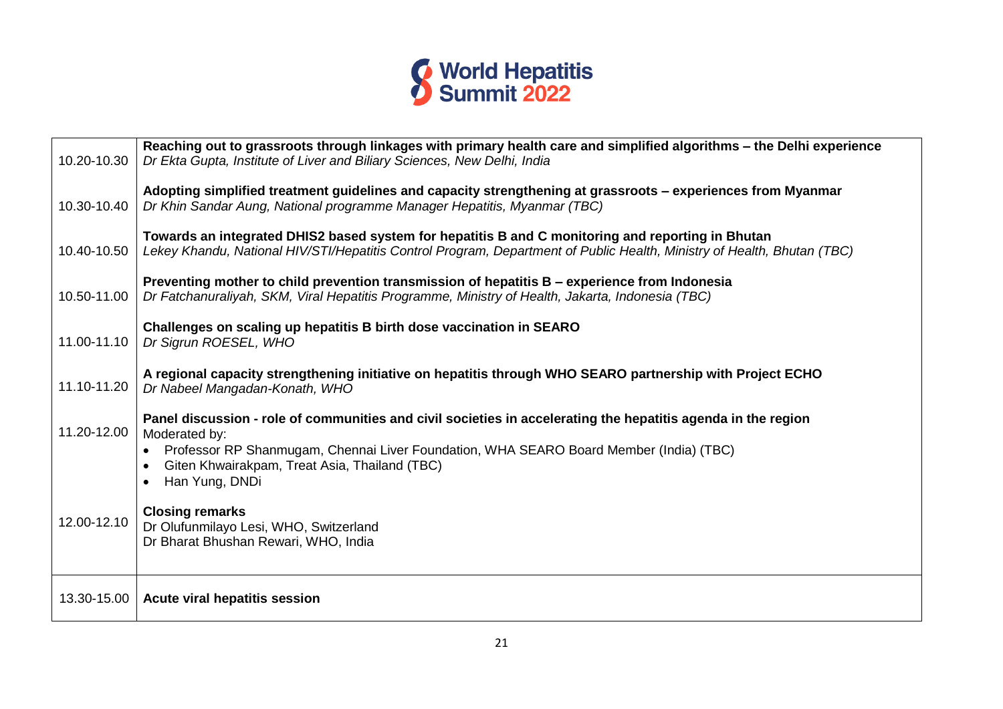

| 10.20-10.30 | Reaching out to grassroots through linkages with primary health care and simplified algorithms - the Delhi experience<br>Dr Ekta Gupta, Institute of Liver and Biliary Sciences, New Delhi, India                                                                                           |
|-------------|---------------------------------------------------------------------------------------------------------------------------------------------------------------------------------------------------------------------------------------------------------------------------------------------|
| 10.30-10.40 | Adopting simplified treatment guidelines and capacity strengthening at grassroots - experiences from Myanmar<br>Dr Khin Sandar Aung, National programme Manager Hepatitis, Myanmar (TBC)                                                                                                    |
| 10.40-10.50 | Towards an integrated DHIS2 based system for hepatitis B and C monitoring and reporting in Bhutan<br>Lekey Khandu, National HIV/STI/Hepatitis Control Program, Department of Public Health, Ministry of Health, Bhutan (TBC)                                                                |
| 10.50-11.00 | Preventing mother to child prevention transmission of hepatitis B – experience from Indonesia<br>Dr Fatchanuraliyah, SKM, Viral Hepatitis Programme, Ministry of Health, Jakarta, Indonesia (TBC)                                                                                           |
| 11.00-11.10 | Challenges on scaling up hepatitis B birth dose vaccination in SEARO<br>Dr Sigrun ROESEL, WHO                                                                                                                                                                                               |
| 11.10-11.20 | A regional capacity strengthening initiative on hepatitis through WHO SEARO partnership with Project ECHO<br>Dr Nabeel Mangadan-Konath, WHO                                                                                                                                                 |
| 11.20-12.00 | Panel discussion - role of communities and civil societies in accelerating the hepatitis agenda in the region<br>Moderated by:<br>Professor RP Shanmugam, Chennai Liver Foundation, WHA SEARO Board Member (India) (TBC)<br>Giten Khwairakpam, Treat Asia, Thailand (TBC)<br>Han Yung, DNDi |
| 12.00-12.10 | <b>Closing remarks</b><br>Dr Olufunmilayo Lesi, WHO, Switzerland<br>Dr Bharat Bhushan Rewari, WHO, India                                                                                                                                                                                    |
| 13.30-15.00 | <b>Acute viral hepatitis session</b>                                                                                                                                                                                                                                                        |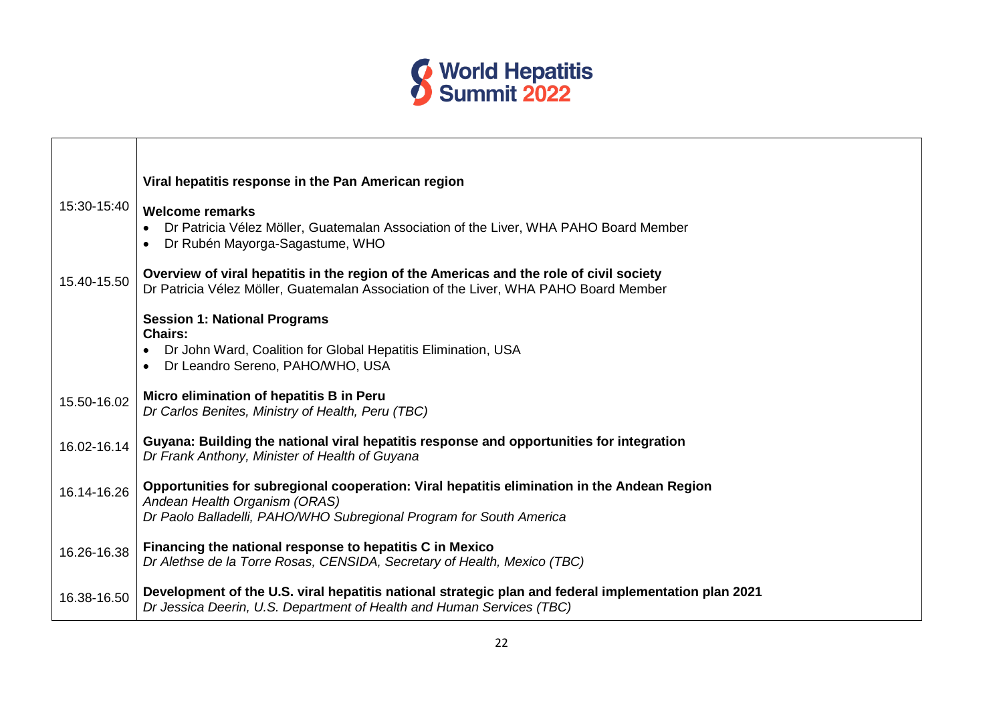

- r

|             | Viral hepatitis response in the Pan American region                                                                                                                                                 |
|-------------|-----------------------------------------------------------------------------------------------------------------------------------------------------------------------------------------------------|
| 15:30-15:40 | <b>Welcome remarks</b><br>Dr Patricia Vélez Möller, Guatemalan Association of the Liver, WHA PAHO Board Member<br>Dr Rubén Mayorga-Sagastume, WHO                                                   |
| 15.40-15.50 | Overview of viral hepatitis in the region of the Americas and the role of civil society<br>Dr Patricia Vélez Möller, Guatemalan Association of the Liver, WHA PAHO Board Member                     |
|             | <b>Session 1: National Programs</b><br><b>Chairs:</b>                                                                                                                                               |
|             | Dr John Ward, Coalition for Global Hepatitis Elimination, USA<br>Dr Leandro Sereno, PAHO/WHO, USA                                                                                                   |
| 15.50-16.02 | Micro elimination of hepatitis B in Peru<br>Dr Carlos Benites, Ministry of Health, Peru (TBC)                                                                                                       |
| 16.02-16.14 | Guyana: Building the national viral hepatitis response and opportunities for integration<br>Dr Frank Anthony, Minister of Health of Guyana                                                          |
| 16.14-16.26 | Opportunities for subregional cooperation: Viral hepatitis elimination in the Andean Region<br>Andean Health Organism (ORAS)<br>Dr Paolo Balladelli, PAHO/WHO Subregional Program for South America |
| 16.26-16.38 | Financing the national response to hepatitis C in Mexico<br>Dr Alethse de la Torre Rosas, CENSIDA, Secretary of Health, Mexico (TBC)                                                                |
| 16.38-16.50 | Development of the U.S. viral hepatitis national strategic plan and federal implementation plan 2021<br>Dr Jessica Deerin, U.S. Department of Health and Human Services (TBC)                       |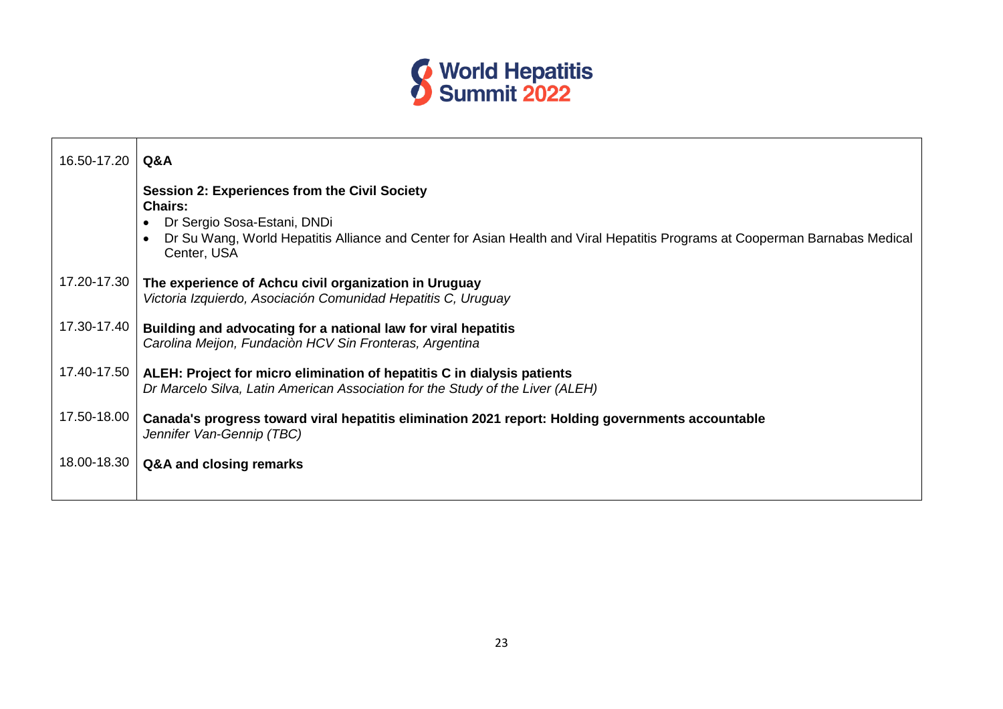

| 16.50-17.20 | Q&A                                                                                                                                                                                                                                                 |
|-------------|-----------------------------------------------------------------------------------------------------------------------------------------------------------------------------------------------------------------------------------------------------|
|             | <b>Session 2: Experiences from the Civil Society</b><br><b>Chairs:</b><br>Dr Sergio Sosa-Estani, DNDi<br>Dr Su Wang, World Hepatitis Alliance and Center for Asian Health and Viral Hepatitis Programs at Cooperman Barnabas Medical<br>Center, USA |
| 17.20-17.30 | The experience of Achcu civil organization in Uruguay<br>Victoria Izquierdo, Asociación Comunidad Hepatitis C, Uruguay                                                                                                                              |
| 17.30-17.40 | Building and advocating for a national law for viral hepatitis<br>Carolina Meijon, Fundaciòn HCV Sin Fronteras, Argentina                                                                                                                           |
| 17.40-17.50 | ALEH: Project for micro elimination of hepatitis C in dialysis patients<br>Dr Marcelo Silva, Latin American Association for the Study of the Liver (ALEH)                                                                                           |
| 17.50-18.00 | Canada's progress toward viral hepatitis elimination 2021 report: Holding governments accountable<br>Jennifer Van-Gennip (TBC)                                                                                                                      |
| 18.00-18.30 | Q&A and closing remarks                                                                                                                                                                                                                             |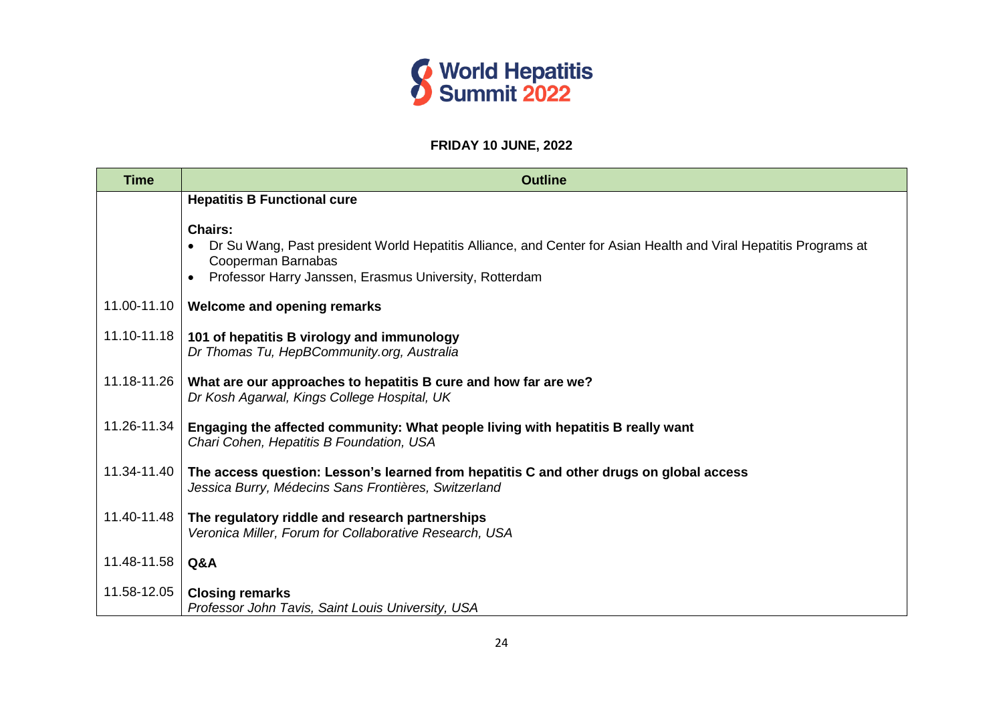

#### **FRIDAY 10 JUNE, 2022**

| <b>Time</b> | <b>Outline</b>                                                                                                                                                                                                     |
|-------------|--------------------------------------------------------------------------------------------------------------------------------------------------------------------------------------------------------------------|
|             | <b>Hepatitis B Functional cure</b>                                                                                                                                                                                 |
|             | <b>Chairs:</b><br>Dr Su Wang, Past president World Hepatitis Alliance, and Center for Asian Health and Viral Hepatitis Programs at<br>Cooperman Barnabas<br>Professor Harry Janssen, Erasmus University, Rotterdam |
| 11.00-11.10 | Welcome and opening remarks                                                                                                                                                                                        |
| 11.10-11.18 | 101 of hepatitis B virology and immunology<br>Dr Thomas Tu, HepBCommunity.org, Australia                                                                                                                           |
| 11.18-11.26 | What are our approaches to hepatitis B cure and how far are we?<br>Dr Kosh Agarwal, Kings College Hospital, UK                                                                                                     |
| 11.26-11.34 | Engaging the affected community: What people living with hepatitis B really want<br>Chari Cohen, Hepatitis B Foundation, USA                                                                                       |
| 11.34-11.40 | The access question: Lesson's learned from hepatitis C and other drugs on global access<br>Jessica Burry, Médecins Sans Frontières, Switzerland                                                                    |
| 11.40-11.48 | The regulatory riddle and research partnerships<br>Veronica Miller, Forum for Collaborative Research, USA                                                                                                          |
| 11.48-11.58 | Q&A                                                                                                                                                                                                                |
| 11.58-12.05 | <b>Closing remarks</b><br>Professor John Tavis, Saint Louis University, USA                                                                                                                                        |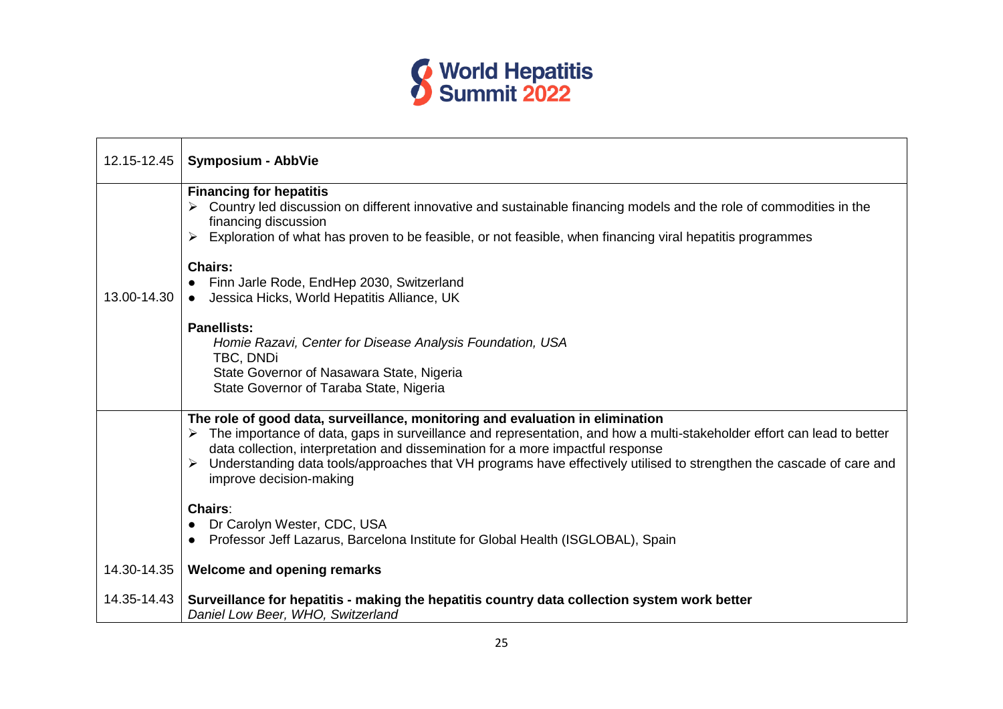

| 12.15-12.45 | <b>Symposium - AbbVie</b>                                                                                                                                                                                                                                                                                                                                                                                                                                                                                                                                                                           |
|-------------|-----------------------------------------------------------------------------------------------------------------------------------------------------------------------------------------------------------------------------------------------------------------------------------------------------------------------------------------------------------------------------------------------------------------------------------------------------------------------------------------------------------------------------------------------------------------------------------------------------|
| 13.00-14.30 | <b>Financing for hepatitis</b><br>Country led discussion on different innovative and sustainable financing models and the role of commodities in the<br>financing discussion<br>Exploration of what has proven to be feasible, or not feasible, when financing viral hepatitis programmes<br><b>Chairs:</b><br>• Finn Jarle Rode, EndHep 2030, Switzerland<br>• Jessica Hicks, World Hepatitis Alliance, UK<br><b>Panellists:</b><br>Homie Razavi, Center for Disease Analysis Foundation, USA<br>TBC, DNDi<br>State Governor of Nasawara State, Nigeria<br>State Governor of Taraba State, Nigeria |
|             | The role of good data, surveillance, monitoring and evaluation in elimination<br>The importance of data, gaps in surveillance and representation, and how a multi-stakeholder effort can lead to better<br>data collection, interpretation and dissemination for a more impactful response<br>> Understanding data tools/approaches that VH programs have effectively utilised to strengthen the cascade of care and<br>improve decision-making                                                                                                                                                     |
|             | <b>Chairs:</b><br>Dr Carolyn Wester, CDC, USA<br>Professor Jeff Lazarus, Barcelona Institute for Global Health (ISGLOBAL), Spain                                                                                                                                                                                                                                                                                                                                                                                                                                                                    |
| 14.30-14.35 | <b>Welcome and opening remarks</b>                                                                                                                                                                                                                                                                                                                                                                                                                                                                                                                                                                  |
| 14.35-14.43 | Surveillance for hepatitis - making the hepatitis country data collection system work better<br>Daniel Low Beer, WHO, Switzerland                                                                                                                                                                                                                                                                                                                                                                                                                                                                   |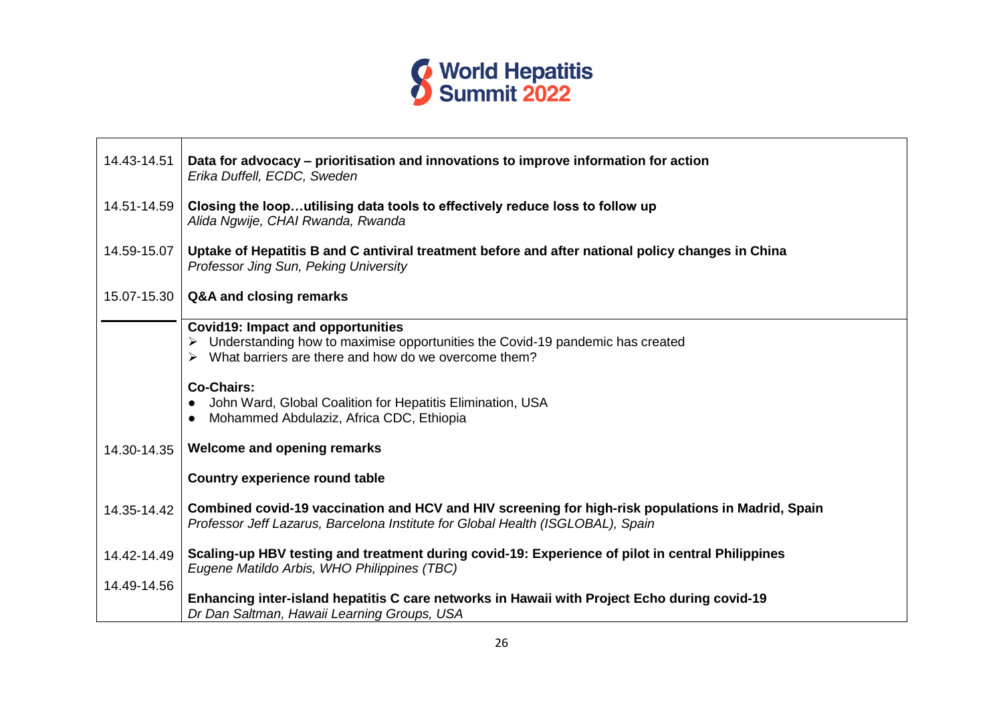

| 14.43-14.51 | Data for advocacy – prioritisation and innovations to improve information for action<br>Erika Duffell, ECDC, Sweden                                                                   |
|-------------|---------------------------------------------------------------------------------------------------------------------------------------------------------------------------------------|
| 14.51-14.59 | Closing the looputilising data tools to effectively reduce loss to follow up<br>Alida Ngwije, CHAI Rwanda, Rwanda                                                                     |
| 14.59-15.07 | Uptake of Hepatitis B and C antiviral treatment before and after national policy changes in China<br>Professor Jing Sun, Peking University                                            |
| 15.07-15.30 | Q&A and closing remarks                                                                                                                                                               |
|             | <b>Covid19: Impact and opportunities</b><br>Understanding how to maximise opportunities the Covid-19 pandemic has created<br>What barriers are there and how do we overcome them?     |
|             | <b>Co-Chairs:</b><br>John Ward, Global Coalition for Hepatitis Elimination, USA<br>Mohammed Abdulaziz, Africa CDC, Ethiopia                                                           |
| 14.30-14.35 | Welcome and opening remarks                                                                                                                                                           |
|             | Country experience round table                                                                                                                                                        |
| 14.35-14.42 | Combined covid-19 vaccination and HCV and HIV screening for high-risk populations in Madrid, Spain<br>Professor Jeff Lazarus, Barcelona Institute for Global Health (ISGLOBAL), Spain |
| 14.42-14.49 | Scaling-up HBV testing and treatment during covid-19: Experience of pilot in central Philippines<br>Eugene Matildo Arbis, WHO Philippines (TBC)                                       |
| 14.49-14.56 | Enhancing inter-island hepatitis C care networks in Hawaii with Project Echo during covid-19<br>Dr Dan Saltman, Hawaii Learning Groups, USA                                           |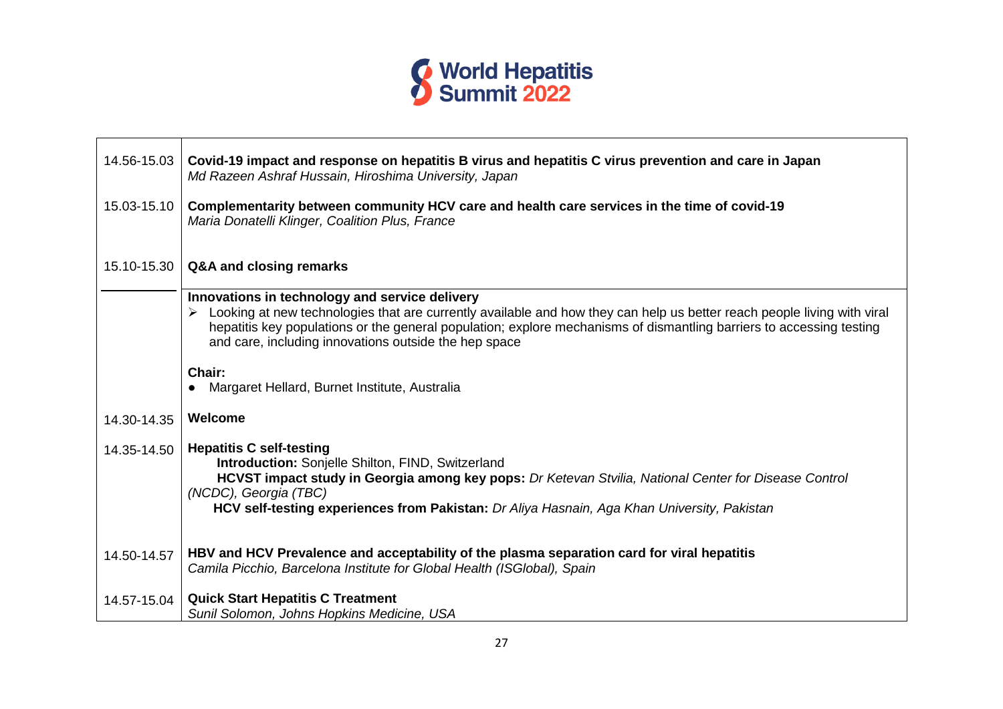

| 14.56-15.03 | Covid-19 impact and response on hepatitis B virus and hepatitis C virus prevention and care in Japan<br>Md Razeen Ashraf Hussain, Hiroshima University, Japan                                                                                                                                                                                              |
|-------------|------------------------------------------------------------------------------------------------------------------------------------------------------------------------------------------------------------------------------------------------------------------------------------------------------------------------------------------------------------|
| 15.03-15.10 | Complementarity between community HCV care and health care services in the time of covid-19<br>Maria Donatelli Klinger, Coalition Plus, France                                                                                                                                                                                                             |
| 15.10-15.30 | Q&A and closing remarks                                                                                                                                                                                                                                                                                                                                    |
|             | Innovations in technology and service delivery<br>Looking at new technologies that are currently available and how they can help us better reach people living with viral<br>hepatitis key populations or the general population; explore mechanisms of dismantling barriers to accessing testing<br>and care, including innovations outside the hep space |
|             | Chair:<br>Margaret Hellard, Burnet Institute, Australia                                                                                                                                                                                                                                                                                                    |
| 14.30-14.35 | Welcome                                                                                                                                                                                                                                                                                                                                                    |
| 14.35-14.50 | <b>Hepatitis C self-testing</b><br><b>Introduction:</b> Sonjelle Shilton, FIND, Switzerland<br>HCVST impact study in Georgia among key pops: Dr Ketevan Stvilia, National Center for Disease Control<br>(NCDC), Georgia (TBC)<br>HCV self-testing experiences from Pakistan: Dr Aliya Hasnain, Aga Khan University, Pakistan                               |
| 14.50-14.57 | HBV and HCV Prevalence and acceptability of the plasma separation card for viral hepatitis<br>Camila Picchio, Barcelona Institute for Global Health (ISGlobal), Spain                                                                                                                                                                                      |
| 14.57-15.04 | <b>Quick Start Hepatitis C Treatment</b><br>Sunil Solomon, Johns Hopkins Medicine, USA                                                                                                                                                                                                                                                                     |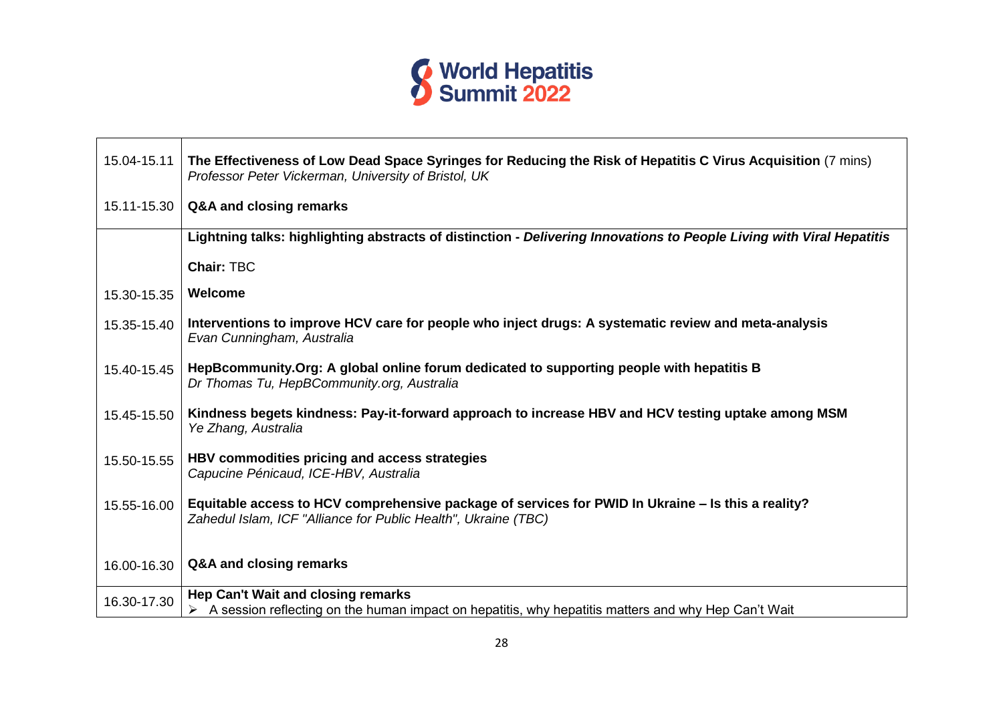

| 15.04-15.11 | The Effectiveness of Low Dead Space Syringes for Reducing the Risk of Hepatitis C Virus Acquisition (7 mins)<br>Professor Peter Vickerman, University of Bristol, UK |
|-------------|----------------------------------------------------------------------------------------------------------------------------------------------------------------------|
| 15.11-15.30 | Q&A and closing remarks                                                                                                                                              |
|             | Lightning talks: highlighting abstracts of distinction - Delivering Innovations to People Living with Viral Hepatitis                                                |
|             | <b>Chair: TBC</b>                                                                                                                                                    |
| 15.30-15.35 | Welcome                                                                                                                                                              |
| 15.35-15.40 | Interventions to improve HCV care for people who inject drugs: A systematic review and meta-analysis<br>Evan Cunningham, Australia                                   |
| 15.40-15.45 | HepBcommunity.Org: A global online forum dedicated to supporting people with hepatitis B<br>Dr Thomas Tu, HepBCommunity.org, Australia                               |
| 15.45-15.50 | Kindness begets kindness: Pay-it-forward approach to increase HBV and HCV testing uptake among MSM<br>Ye Zhang, Australia                                            |
| 15.50-15.55 | HBV commodities pricing and access strategies<br>Capucine Pénicaud, ICE-HBV, Australia                                                                               |
| 15.55-16.00 | Equitable access to HCV comprehensive package of services for PWID In Ukraine – Is this a reality?<br>Zahedul Islam, ICF "Alliance for Public Health", Ukraine (TBC) |
| 16.00-16.30 | Q&A and closing remarks                                                                                                                                              |
| 16.30-17.30 | Hep Can't Wait and closing remarks<br>$\triangleright$ A session reflecting on the human impact on hepatitis, why hepatitis matters and why Hep Can't Wait           |